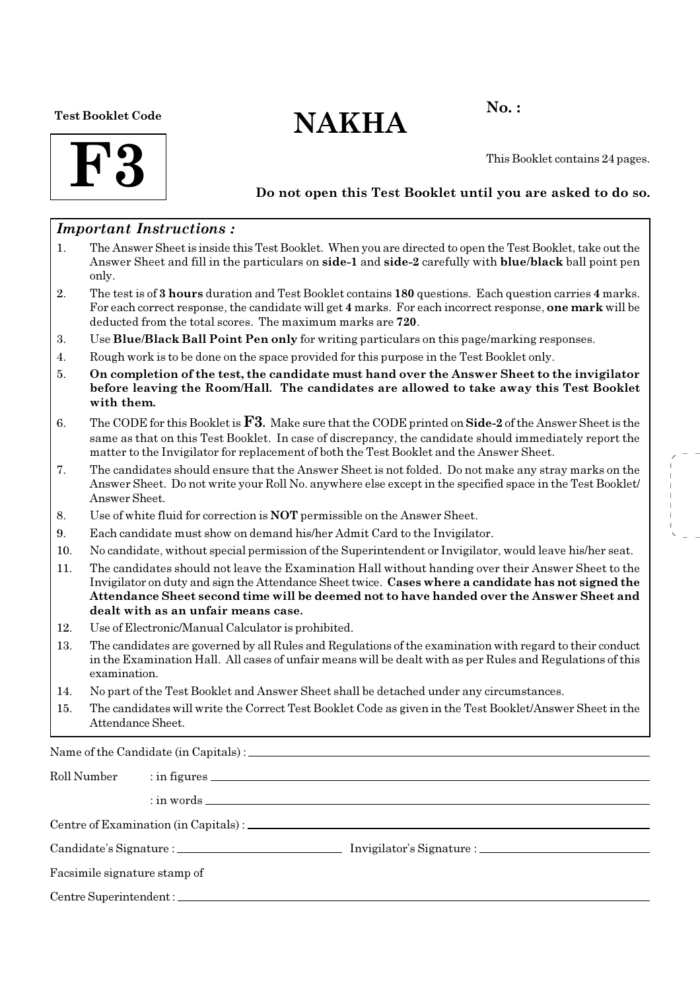Test Booklet Code

# $NAKHA$ <sup>No.:</sup>

**F3** 

This Booklet contains 24 pages.

### Do not open this Test Booklet until you are asked to do so.

### Important Instructions :

- 1. The Answer Sheet is inside this Test Booklet. When you are directed to open the Test Booklet, take out the Answer Sheet and fill in the particulars on side-1 and side-2 carefully with blue/black ball point pen only.
- 2. The test is of 3 hours duration and Test Booklet contains 180 questions. Each question carries 4 marks. For each correct response, the candidate will get 4 marks. For each incorrect response, one mark will be deducted from the total scores. The maximum marks are 720.
- 3. Use Blue/Black Ball Point Pen only for writing particulars on this page/marking responses.
- 4. Rough work is to be done on the space provided for this purpose in the Test Booklet only.
- 5. On completion of the test, the candidate must hand over the Answer Sheet to the invigilator before leaving the Room/Hall. The candidates are allowed to take away this Test Booklet with them.
- 6. The CODE for this Booklet is  $\bf{F3}$ . Make sure that the CODE printed on **Side-2** of the Answer Sheet is the same as that on this Test Booklet. In case of discrepancy, the candidate should immediately report the matter to the Invigilator for replacement of both the Test Booklet and the Answer Sheet.
- 7. The candidates should ensure that the Answer Sheet is not folded. Do not make any stray marks on the Answer Sheet. Do not write your Roll No. anywhere else except in the specified space in the Test Booklet/ Answer Sheet.
- 8. Use of white fluid for correction is NOT permissible on the Answer Sheet.
- 9. Each candidate must show on demand his/her Admit Card to the Invigilator.
- 10. No candidate, without special permission of the Superintendent or Invigilator, would leave his/her seat.
- 11. The candidates should not leave the Examination Hall without handing over their Answer Sheet to the Invigilator on duty and sign the Attendance Sheet twice. Cases where a candidate has not signed the Attendance Sheet second time will be deemed not to have handed over the Answer Sheet and dealt with as an unfair means case.
- 12. Use of Electronic/Manual Calculator is prohibited.
- 13. The candidates are governed by all Rules and Regulations of the examination with regard to their conduct in the Examination Hall. All cases of unfair means will be dealt with as per Rules and Regulations of this examination.
- 14. No part of the Test Booklet and Answer Sheet shall be detached under any circumstances.
- 15. The candidates will write the Correct Test Booklet Code as given in the Test Booklet/Answer Sheet in the Attendance Sheet.

Name of the Candidate (in Capitals) :

| Roll Number                  |  |  |
|------------------------------|--|--|
|                              |  |  |
|                              |  |  |
|                              |  |  |
| Facsimile signature stamp of |  |  |
|                              |  |  |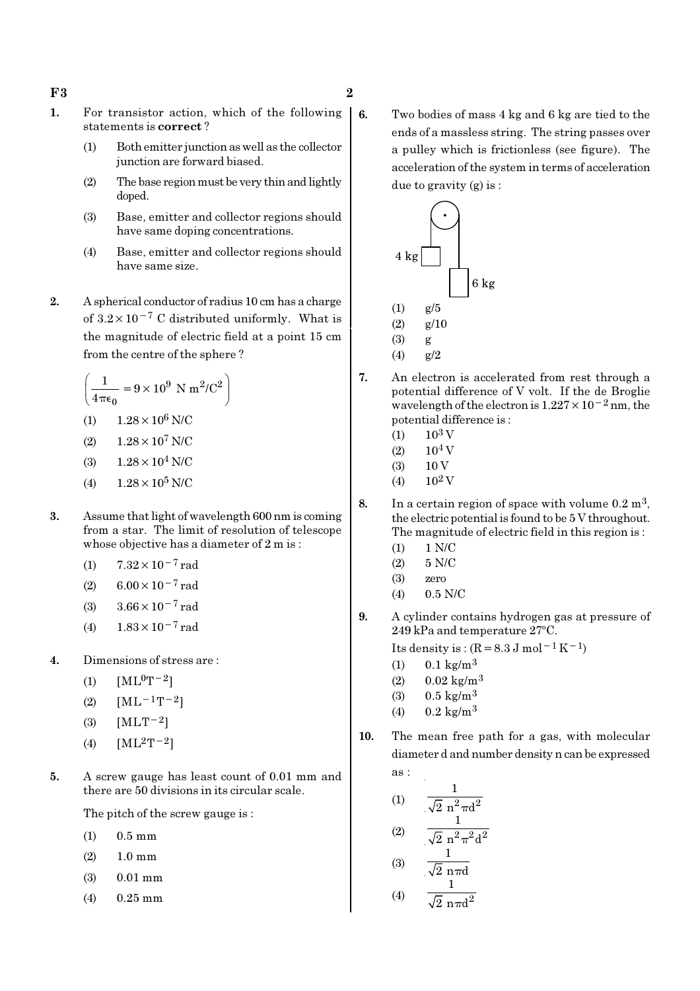- 1. For transistor action, which of the following statements is correct ?
	- (1) Both emitter junction as well as the collector junction are forward biased.
	- (2) The base region must be very thin and lightly doped.
	- (3) Base, emitter and collector regions should have same doping concentrations.
	- (4) Base, emitter and collector regions should have same size.
- 2. A spherical conductor of radius 10 cm has a charge of  $3.2 \times 10^{-7}$  C distributed uniformly. What is the magnitude of electric field at a point 15 cm from the centre of the sphere ?

$$
\left(\frac{1}{4\pi\epsilon_0} = 9 \times 10^9 \text{ N m}^2/\text{C}^2\right)
$$
  
(1) 1.28 × 10<sup>6</sup> N/C

- (2)  $1.28 \times 10^7$  N/C
- (3)  $1.28 \times 10^4$  N/C
- (4)  $1.28 \times 10^5$  N/C
- 3. Assume that light of wavelength 600 nm is coming from a star. The limit of resolution of telescope whose objective has a diameter of 2 m is :
	- (1)  $7.32 \times 10^{-7}$  rad
	- (2) 6.00 $\times$ 10<sup>-7</sup> rad
	- (3)  $3.66 \times 10^{-7}$  rad
	- (4) 1.83×10−7 rad
- 4. Dimensions of stress are :
	- (1)  $[ML^0T^{-2}]$
	- (2)  $[ML<sup>-1</sup>T<sup>-2</sup>]$
	- (3)  $[MLT^{-2}]$
	- (4)  $[ML^2T^{-2}]$
- 5. A screw gauge has least count of 0.01 mm and there are 50 divisions in its circular scale.

The pitch of the screw gauge is :

- (1) 0.5 mm
- (2) 1.0 mm
- (3) 0.01 mm
- (4) 0.25 mm

6. Two bodies of mass 4 kg and 6 kg are tied to the ends of a massless string. The string passes over a pulley which is frictionless (see figure). The acceleration of the system in terms of acceleration due to gravity (g) is :



- 7. An electron is accelerated from rest through a potential difference of V volt. If the de Broglie wavelength of the electron is  $1.227 \times 10^{-2}$  nm, the potential difference is :
	- $(1)$  10<sup>3</sup> V
	- $(2)$  10<sup>4</sup> V
	- $(3)$  10 V
	- $(4)$  10<sup>2</sup> V
- 8. In a certain region of space with volume  $0.2 \text{ m}^3$ , the electric potential is found to be 5 V throughout. The magnitude of electric field in this region is :
	- (1) 1 N/C
	- (2) 5 N/C
	- (3) zero
	- (4) 0.5 N/C
- 9. A cylinder contains hydrogen gas at pressure of  $249$  kPa and temperature  $27^{\circ}$ C.

Its density is :  $(R=8.3 J \text{ mol}^{-1} \text{K}^{-1})$ 

- (1)  $0.1 \text{ kg/m}^3$
- (2)  $0.02 \text{ kg/m}^3$
- (3)  $0.5 \text{ kg/m}^3$
- (4)  $0.2 \text{ kg/m}^3$
- 10. The mean free path for a gas, with molecular diameter d and number density n can be expressed as :

(1) 
$$
\frac{1}{\sqrt{2} n^2 \pi d^2}
$$
  
(2) 
$$
\frac{1}{\sqrt{2} n^2 \pi^2 d^2}
$$

$$
(3) \qquad \frac{}{\sqrt{2} \text{ n} \pi d}
$$

$$
(4) \qquad \frac{}{\sqrt{2} \text{ n} \pi d^2}
$$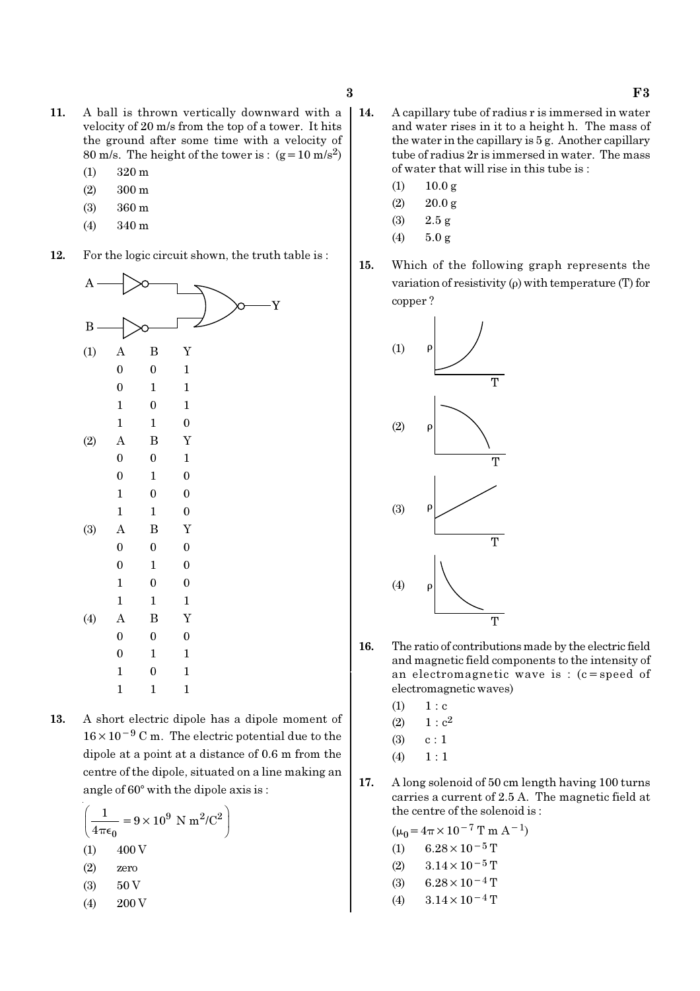- 11. A ball is thrown vertically downward with a velocity of 20 m/s from the top of a tower. It hits the ground after some time with a velocity of 80 m/s. The height of the tower is :  $(g=10 \text{ m/s}^2)$ 
	- (1) 320 m
	- (2) 300 m
	- (3) 360 m
	- (4) 340 m
- 12. For the logic circuit shown, the truth table is :

| A                 |                       |                  |                  |
|-------------------|-----------------------|------------------|------------------|
|                   |                       |                  | Y                |
| B                 |                       |                  |                  |
| (1)               | $\boldsymbol{A}$      | $\boldsymbol{B}$ | $\mathbf Y$      |
|                   | $\boldsymbol{0}$      | $\boldsymbol{0}$ | $\mathbf{1}$     |
|                   | $\boldsymbol{0}$      | $\mathbf{1}$     | $\mathbf{1}$     |
|                   | $\mathbf 1$           | $\boldsymbol{0}$ | $\mathbf{1}$     |
|                   | $\mathbf{1}$          | $\mathbf{1}$     | $\boldsymbol{0}$ |
| (2)               | $\boldsymbol{\rm{A}}$ | B                | $\mathbf Y$      |
|                   | $\boldsymbol{0}$      | $\boldsymbol{0}$ | $\mathbf{1}$     |
|                   | $\boldsymbol{0}$      | $\mathbf 1$      | $\boldsymbol{0}$ |
|                   | $\mathbf{1}$          | $\boldsymbol{0}$ | $\boldsymbol{0}$ |
|                   | $\mathbf{1}$          | $\mathbf{1}$     | $\boldsymbol{0}$ |
| (3)               | $\boldsymbol{\rm{A}}$ | B                | Y                |
|                   | $\boldsymbol{0}$      | $\boldsymbol{0}$ | $\boldsymbol{0}$ |
|                   | $\boldsymbol{0}$      | $\mathbf{1}$     | $\boldsymbol{0}$ |
|                   | $\mathbf{1}$          | $\boldsymbol{0}$ | $\boldsymbol{0}$ |
|                   | $\mathbf{1}$          | $\mathbf{1}$     | $\mathbf{1}$     |
| $\left( 4\right)$ | $\boldsymbol{\rm{A}}$ | $\boldsymbol{B}$ | $\mathbf Y$      |
|                   | $\boldsymbol{0}$      | $\boldsymbol{0}$ | $\boldsymbol{0}$ |
|                   | $\boldsymbol{0}$      | $\mathbf 1$      | $\mathbf{1}$     |
|                   | $\mathbf{1}$          | $\boldsymbol{0}$ | $\mathbf{1}$     |
|                   | $\mathbf{1}$          | $\mathbf{1}$     | $\mathbf{1}$     |
|                   |                       |                  |                  |

13. A short electric dipole has a dipole moment of 16×10−<sup>9</sup> C m. The electric potential due to the dipole at a point at a distance of 0.6 m from the centre of the dipole, situated on a line making an angle of  $60^\circ$  with the dipole axis is:

$$
\left(\frac{1}{4\pi\epsilon_0} = 9 \times 10^9 \text{ N m}^2/\text{C}^2\right)
$$
  
(1) 400 V  
(2) zero  
(3) 50 V  
(4) 200 V

- 14. A capillary tube of radius r is immersed in water and water rises in it to a height h. The mass of the water in the capillary is 5 g. Another capillary tube of radius 2r is immersed in water. The mass of water that will rise in this tube is :
	- $(1)$  10.0 g
	- $(2)$  20.0 g
	- (3) 2.5 g
	- (4) 5.0 g
- 15. Which of the following graph represents the variation of resistivity (ρ) with temperature (T) for copper ?



- 16. The ratio of contributions made by the electric field and magnetic field components to the intensity of an electromagnetic wave is : (c=speed of electromagnetic waves)
	- $(1) 1 : c$
	- (2)  $1 : c^2$
	- $(3)$  c : 1
	- $(4) \qquad 1 : 1$
- 17. A long solenoid of 50 cm length having 100 turns carries a current of 2.5 A. The magnetic field at the centre of the solenoid is :

$$
(\mu_0 = 4\pi \times 10^{-7} \text{ T m A}^{-1})
$$
  
(1) 6.28 × 10<sup>-5</sup> T  
(2) 3.14 × 10<sup>-5</sup> T  
(3) 6.28 × 10<sup>-4</sup> T  
(4) 3.14 × 10<sup>-4</sup> T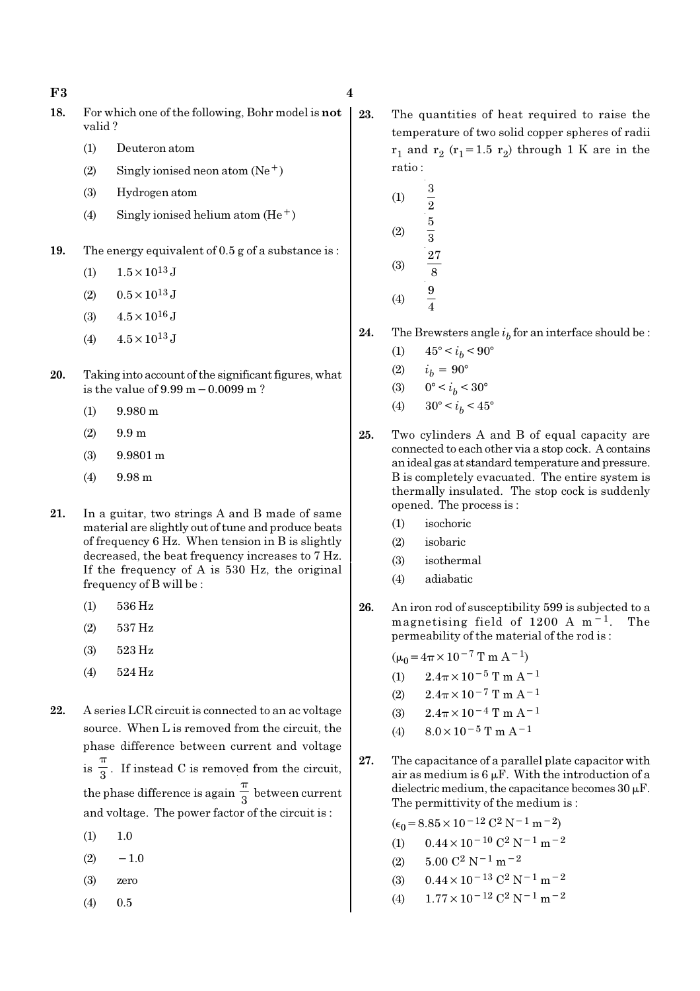- 18. For which one of the following, Bohr model is not valid ?
	- (1) Deuteron atom
	- (2) Singly ionised neon atom  $(Ne^+)$
	- (3) Hydrogen atom
	- (4) Singly ionised helium atom  $(He<sup>+</sup>)$
- 19. The energy equivalent of 0.5 g of a substance is :
	- (1)  $1.5 \times 10^{13}$  J
	- (2)  $0.5 \times 10^{13}$  J
	- (3)  $4.5 \times 10^{16}$  J
	- (4)  $4.5 \times 10^{13}$  J
- 20. Taking into account of the significant figures, what is the value of 9.99 m−0.0099 m ?
	- $(1)$  9.980 m
	- $(2)$  9.9 m
	- (3) 9.9801 m
	- (4) 9.98 m
- 21. In a guitar, two strings A and B made of same material are slightly out of tune and produce beats of frequency 6 Hz. When tension in B is slightly decreased, the beat frequency increases to 7 Hz. If the frequency of A is 530 Hz, the original frequency of B will be :
	- (1) 536 Hz
	- (2) 537 Hz
	- (3) 523 Hz
	- (4) 524 Hz
- 22. A series LCR circuit is connected to an ac voltage source. When L is removed from the circuit, the phase difference between current and voltage  $is \frac{1}{3}$ π . If instead C is removed from the circuit, the phase difference is again  $\frac{1}{3}$ π between current and voltage. The power factor of the circuit is :
	- $(1)$  1.0
	- $(2) -1.0$
	- (3) zero
	- (4) 0.5
- 23. The quantities of heat required to raise the temperature of two solid copper spheres of radii  $r_1$  and  $r_2$  ( $r_1$ =1.5  $r_2$ ) through 1 K are in the ratio :
	- $(1)$  $\overline{2}$ (2) 5 3 (3) 27 8 (4)  $\frac{9}{4}$ 4

**24.** The Brewsters angle  $i_b$  for an interface should be :

- (1)  $45^{\circ} < i_b < 90^{\circ}$
- (2)  $i_h = 90^\circ$
- (3)  $0^{\circ} < i_b < 30^{\circ}$
- (4)  $30^{\circ} < i_b < 45^{\circ}$
- 25. Two cylinders A and B of equal capacity are connected to each other via a stop cock. A contains an ideal gas at standard temperature and pressure. B is completely evacuated. The entire system is thermally insulated. The stop cock is suddenly opened. The process is :
	- (1) isochoric
	- (2) isobaric
	- (3) isothermal
	- (4) adiabatic
- 26. An iron rod of susceptibility 599 is subjected to a magnetising field of 1200 A m−1. The permeability of the material of the rod is :

$$
(\mu_0\!=\!4\pi\!\times\!10^{-7}\,T\;m\;A^{-1})
$$

- (1)  $2.4\pi \times 10^{-5}$  T m A<sup>-1</sup>
- (2)  $2.4\pi \times 10^{-7}$  T m A<sup>-1</sup>
- (3)  $2.4\pi \times 10^{-4}$  T m A<sup>-1</sup>
- (4)  $8.0 \times 10^{-5}$  T m A<sup>-1</sup>
- 27. The capacitance of a parallel plate capacitor with air as medium is  $6 \mu$ F. With the introduction of a dielectric medium, the capacitance becomes  $30 \mu$ F. The permittivity of the medium is :
	- $(\epsilon_0 = 8.85 \times 10^{-12} \text{ C}^2 \text{ N}^{-1} \text{ m}^{-2})$ (1)  $0.44 \times 10^{-10}$  C<sup>2</sup> N<sup>-1</sup> m<sup>-2</sup> (2)  $5.00 \text{ C}^2 \text{ N}^{-1} \text{ m}^{-2}$ (3)  $0.44 \times 10^{-13}$  C<sup>2</sup> N<sup>-1</sup> m<sup>-2</sup>
	- (4)  $1.77 \times 10^{-12}$  C<sup>2</sup> N<sup>-1</sup> m<sup>-2</sup>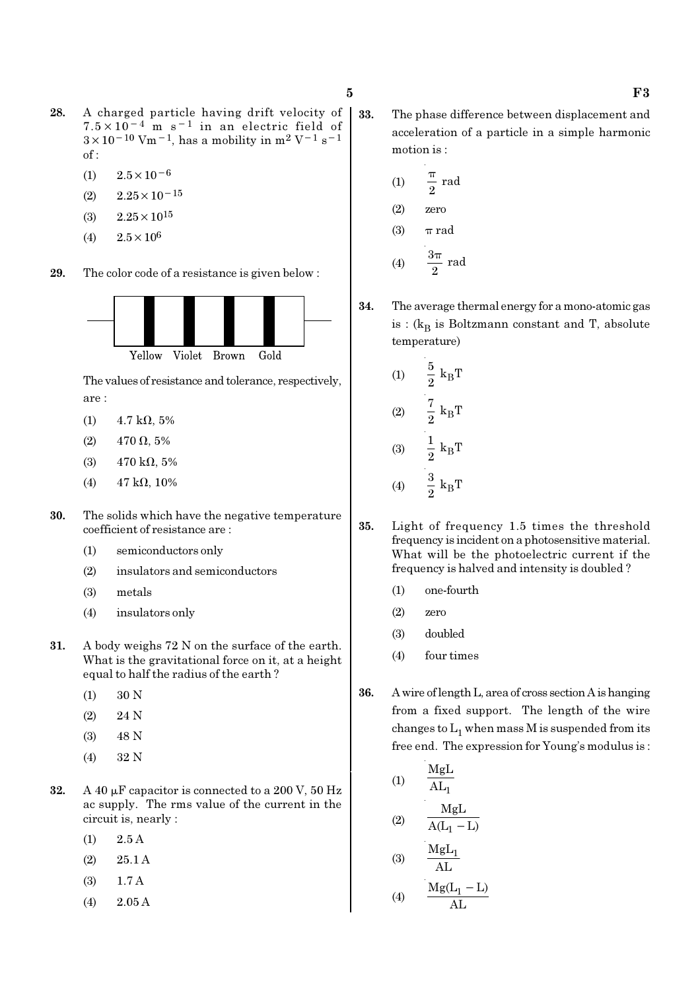- 28. A charged particle having drift velocity of  $7.5 \times 10^{-4}$  m s<sup>-1</sup> in an electric field of  $3 \times 10^{-10}$  Vm<sup>-1</sup>, has a mobility in m<sup>2</sup> V<sup>-1</sup> s<sup>-1</sup>  $of:$ 
	- $(1)$  2.5×10<sup>-6</sup>
	- $(2)$  2.25×10<sup>-15</sup>
	- (3)  $2.25 \times 10^{15}$
	- (4)  $2.5 \times 10^6$
- 29. The color code of a resistance is given below :



The values of resistance and tolerance, respectively, are :

- (1)  $4.7 \text{ k}\Omega, 5\%$
- (2) 470  $\Omega$ , 5%
- (3)  $470 \text{ k}\Omega$ , 5%
- (4)  $47 k\Omega$ , 10%
- 30. The solids which have the negative temperature coefficient of resistance are :
	- (1) semiconductors only
	- (2) insulators and semiconductors
	- (3) metals
	- (4) insulators only
- 31. A body weighs 72 N on the surface of the earth. What is the gravitational force on it, at a height equal to half the radius of the earth ?
	- (1) 30 N
	- (2) 24 N
	- (3) 48 N
	- (4) 32 N
- 32. A 40  $\mu$ F capacitor is connected to a 200 V, 50 Hz ac supply. The rms value of the current in the circuit is, nearly :
	- (1) 2.5 A
	- (2) 25.1 A
	- (3) 1.7 A
	- (4) 2.05 A
- 33. The phase difference between displacement and acceleration of a particle in a simple harmonic motion is :
	- $(1)$   $\frac{1}{x}$  rad 2 π (2) zero (3)  $\pi$  rad
	- (4)  $\frac{3\pi}{2}$  rad π
- 34. The average thermal energy for a mono-atomic gas is : ( $\rm{k_{B}}$  is Boltzmann constant and T, absolute temperature)
	- (1)  $\frac{3}{5}$  k<sub>B</sub>  $\frac{5}{2}$  k<sub>B</sub>T  $(2)$   $\frac{1}{2}$  k<sub>B</sub>  $\frac{7}{2}$  k<sub>B</sub>T (3)  $\frac{1}{2}$  k<sub>B</sub>  $\frac{1}{2} k_B T$ (4)  $\frac{3}{9}$  k<sub>B</sub>  $\frac{3}{2}$  k<sub>B</sub>T
- 35. Light of frequency 1.5 times the threshold frequency is incident on a photosensitive material. What will be the photoelectric current if the frequency is halved and intensity is doubled ?
	- (1) one-fourth
	- (2) zero
	- (3) doubled
	- (4) four times
- 36. A wire of length L, area of cross section A is hanging from a fixed support. The length of the wire changes to  $\mathrm{L}_1$  when mass M is suspended from its free end. The expression for Young's modulus is :

$$
(1) \qquad \frac{\text{MgL}}{\text{AL}_1} \\ (2) \qquad \frac{\text{MgL}}{\text{A(L}_1 - \text{L})} \\ (3) \qquad \frac{\text{MgL}_1}{\text{AL}}
$$

$$
(4) \qquad \frac{\text{Mg}(L_1 - L)}{\text{AL}}
$$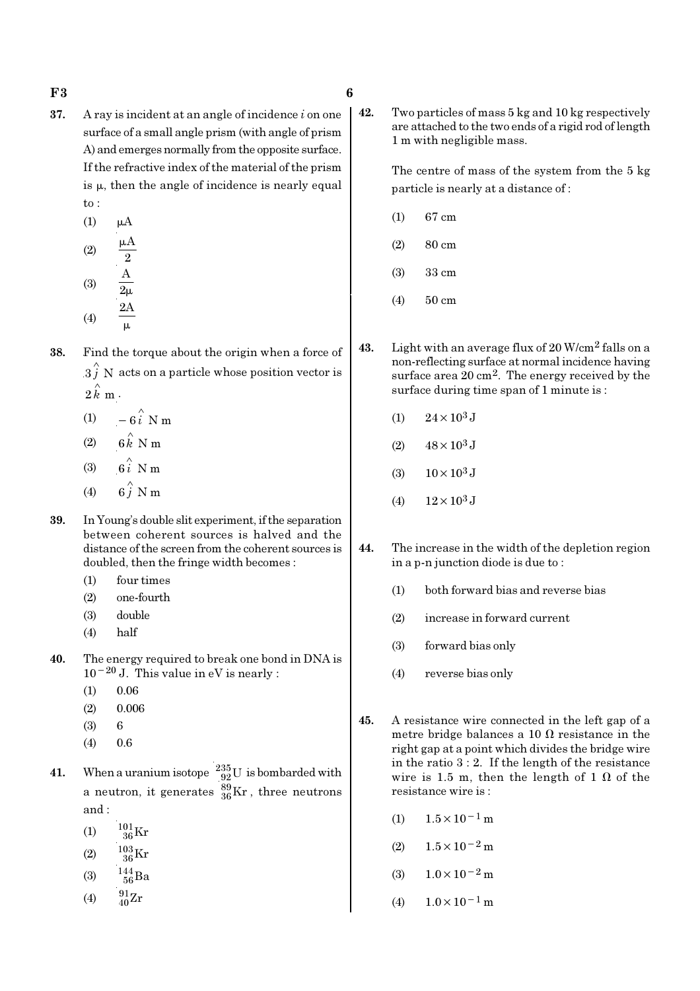- 37. A ray is incident at an angle of incidence  $i$  on one surface of a small angle prism (with angle of prism A) and emerges normally from the opposite surface. If the refractive index of the material of the prism is  $\mu$ , then the angle of incidence is nearly equal to :
	- $(1)$   $\mu$ A
	- (2) A 2 µ (3) A  $2\mu$ (4) 2A  $\mu$
- 38. Find the torque about the origin when a force of  $\hat{3j}$  N acts on a particle whose position vector is  $2 \, \overset{\circ}{k} \, \text{m}$  .
	- (1)  $-6\hat{i}$  N m
	- (2)  $6 \stackrel{\wedge}{k}$  N m
	- (3)  $6i \text{ N m}$
	- (4)  $6\hat{j}$  N m
- 39. In Young's double slit experiment, if the separation between coherent sources is halved and the distance of the screen from the coherent sources is doubled, then the fringe width becomes :
	- (1) four times
	- (2) one-fourth
	- (3) double
	- (4) half
- 40. The energy required to break one bond in DNA is  $10^{-20}$  J. This value in eV is nearly :
	- $(1)$  0.06
	- (2) 0.006
	- (3) 6
	- $(4)$  0.6
- **41.** When a uranium isotope  $\frac{235}{92}$ U is bombarded with a neutron, it generates  $^{89}_{36}\text{Kr}$  , three neutrons and :
	- (1)  $\frac{101}{36}$ Kr
	- $(2)$  $^{03}_{36}\rm{Kr}$
	-
	- (3)  $\frac{144}{56}Ba$
	- (4)  $\frac{91}{40}Zr$

42. Two particles of mass 5 kg and 10 kg respectively are attached to the two ends of a rigid rod of length 1 m with negligible mass.

> The centre of mass of the system from the 5 kg particle is nearly at a distance of :

- (1) 67 cm
- (2) 80 cm
- (3) 33 cm
- (4) 50 cm
- 43. Light with an average flux of  $20$  W/cm<sup>2</sup> falls on a non-reflecting surface at normal incidence having surface area 20 cm2. The energy received by the surface during time span of 1 minute is :
	- (1)  $24 \times 10^3$  J
	- (2)  $48 \times 10^3$  J
	- (3)  $10 \times 10^3$  J
	- (4)  $12 \times 10^3$  J
- 44. The increase in the width of the depletion region in a p-n junction diode is due to :
	- (1) both forward bias and reverse bias
	- (2) increase in forward current
	- (3) forward bias only
	- (4) reverse bias only
- 45. A resistance wire connected in the left gap of a metre bridge balances a 10  $\Omega$  resistance in the right gap at a point which divides the bridge wire in the ratio 3 : 2. If the length of the resistance wire is 1.5 m, then the length of 1  $\Omega$  of the resistance wire is :
	- (1)  $1.5 \times 10^{-1}$  m
	- $(2)$  1.5 × 10<sup>-2</sup> m
	- (3)  $1.0 \times 10^{-2}$  m
	- (4)  $1.0 \times 10^{-1}$  m
- 
-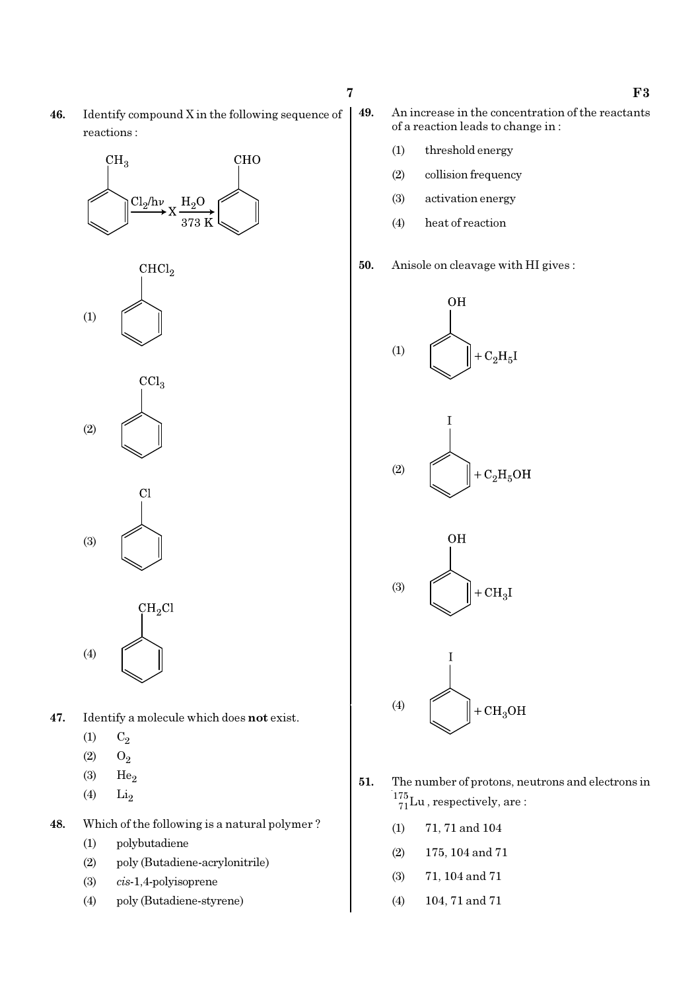46. Identify compound X in the following sequence of reactions :





C<sub>1</sub> (3)



- 47. Identify a molecule which does not exist.
	- $(1)$   $C_2$
	- $(2)$   $O_2$
	- $(3)$  He<sub>2</sub>
	- $(4)$  Li<sub>2</sub>
- 48. Which of the following is a natural polymer ?
	- (1) polybutadiene
	- (2) poly (Butadiene-acrylonitrile)
	- (3) cis-1,4-polyisoprene
	- (4) poly (Butadiene-styrene)
- 49. An increase in the concentration of the reactants of a reaction leads to change in :
	- (1) threshold energy
	- (2) collision frequency
	- (3) activation energy
	- (4) heat of reaction
- 50. Anisole on cleavage with HI gives :



- 51. The number of protons, neutrons and electrons in  $^{175}_{71}$ Lu, respectively, are:
	- (1) 71, 71 and 104
	- (2) 175, 104 and 71
	- (3) 71, 104 and 71
	- (4) 104, 71 and 71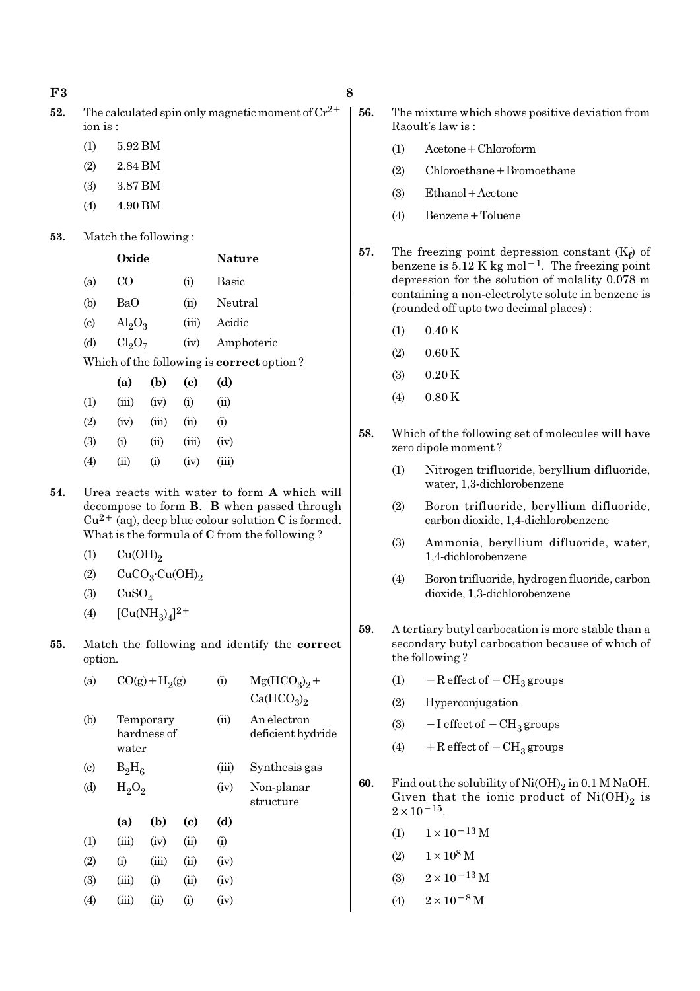- $\mathbf{F3}$  8
- 52. The calculated spin only magnetic moment of  $Cr^{2+}$ ion is :
	- (1) 5.92 BM
	- (2) 2.84 BM
	- (3) 3.87 BM
	- $(4)$  4.90 BM

### 53. Match the following :

|                   | Oxide                   |       | <b>Nature</b>                                    |
|-------------------|-------------------------|-------|--------------------------------------------------|
| (a)               | CO.                     | (i)   | Basic                                            |
| (b)               | BaO                     | (ii)  | Neutral                                          |
| $\left( c\right)$ | $\text{Al}_2\text{O}_3$ | (iii) | Acidic                                           |
| (d)               | $Cl_2O_7$               | (iv)  | Amphoteric                                       |
|                   |                         |       | Which of the following is <b>correct</b> option? |
|                   |                         |       |                                                  |

|     | (a)   | (b)   | (c)   | (d)    |
|-----|-------|-------|-------|--------|
| (1) | (iii) | (iv)  | (i)   | $\sin$ |
| (2) | (iv)  | (iii) | (ii)  | (i)    |
| (3) | (i)   | (ii)  | (iii) | (iv)   |
| (4) | (ii)  | (i)   | (iv)  | (iii)  |

- 54. Urea reacts with water to form A which will decompose to form B. B when passed through  $Cu^{2+}$  (aq), deep blue colour solution C is formed. What is the formula of C from the following ?
	- (1)  $Cu(OH)<sub>2</sub>$
	- (2)  $CuCO<sub>3</sub>·Cu(OH)<sub>2</sub>$
	- $(3)$  CuSO<sub>4</sub>
	- (4)  $[Cu(NH_3)_4]^{2+}$
- 55. Match the following and identify the correct option.

| (a)                       |          | $CO(g) + H2(g)$          |      | (i)   | $Mg(HCO3)2 +$<br>Ca(HCO <sub>3</sub> ) <sub>2</sub> |
|---------------------------|----------|--------------------------|------|-------|-----------------------------------------------------|
| (b)                       | water    | Temporary<br>hardness of |      | (ii)  | An electron<br>deficient hydride                    |
| $\left( \text{c} \right)$ | $B_2H_6$ |                          |      | (iii) | Synthesis gas                                       |
| (d)                       |          | $H_2O_2$                 |      |       | Non-planar<br>structure                             |
|                           | (a)      | (b)                      | (c)  | (d)   |                                                     |
| (1)                       | (iii)    | (iv)                     | (ii) | (i)   |                                                     |
| (2)                       | (i)      | (iii)                    | (ii) | (iv)  |                                                     |
| (3)                       | (iii)    | (i)                      | (ii) | (iv)  |                                                     |
| (4)                       | (iii)    | (ii)                     | (i)  | (iv)  |                                                     |

- - 56. The mixture which shows positive deviation from Raoult's law is :
		- (1) Acetone+Chloroform
		- $(2)$  Chloroethane + Bromoethane
		- (3) Ethanol+Acetone
		- (4) Benzene+Toluene
	- 57. The freezing point depression constant  $(K_f)$  of benzene is  $5.12 \text{ K}$  kg mol<sup>-1</sup>. The freezing point depression for the solution of molality 0.078 m containing a non-electrolyte solute in benzene is (rounded off upto two decimal places) :
		- $(1)$  0.40 K
		- $(2)$  0.60 K
		- $(3)$  0.20 K
		- (4) 0.80 K
	- 58. Which of the following set of molecules will have zero dipole moment ?
		- (1) Nitrogen trifluoride, beryllium difluoride, water, 1,3-dichlorobenzene
		- (2) Boron trifluoride, beryllium difluoride, carbon dioxide, 1,4-dichlorobenzene
		- (3) Ammonia, beryllium difluoride, water, 1,4-dichlorobenzene
		- (4) Boron trifluoride, hydrogen fluoride, carbon dioxide, 1,3-dichlorobenzene
	- 59. A tertiary butyl carbocation is more stable than a secondary butyl carbocation because of which of the following ?
		- (1)  $-$  R effect of  $-$  CH<sub>3</sub> groups
		- (2) Hyperconjugation
		- (3)  $-I$  effect of  $-CH<sub>3</sub>$  groups
		- (4) + R effect of  $-CH<sub>3</sub>$  groups
	- **60.** Find out the solubility of  $Ni(OH)_2$  in 0.1 M NaOH. Given that the ionic product of  $\mathrm{Ni(OH)}_{2}$  is  $2 \times 10^{-15}$ .
		- (1)  $1 \times 10^{-13}$  M
		- (2)  $1 \times 10^8$  M
		- (3)  $2 \times 10^{-13}$  M
		- (4)  $2 \times 10^{-8}$  M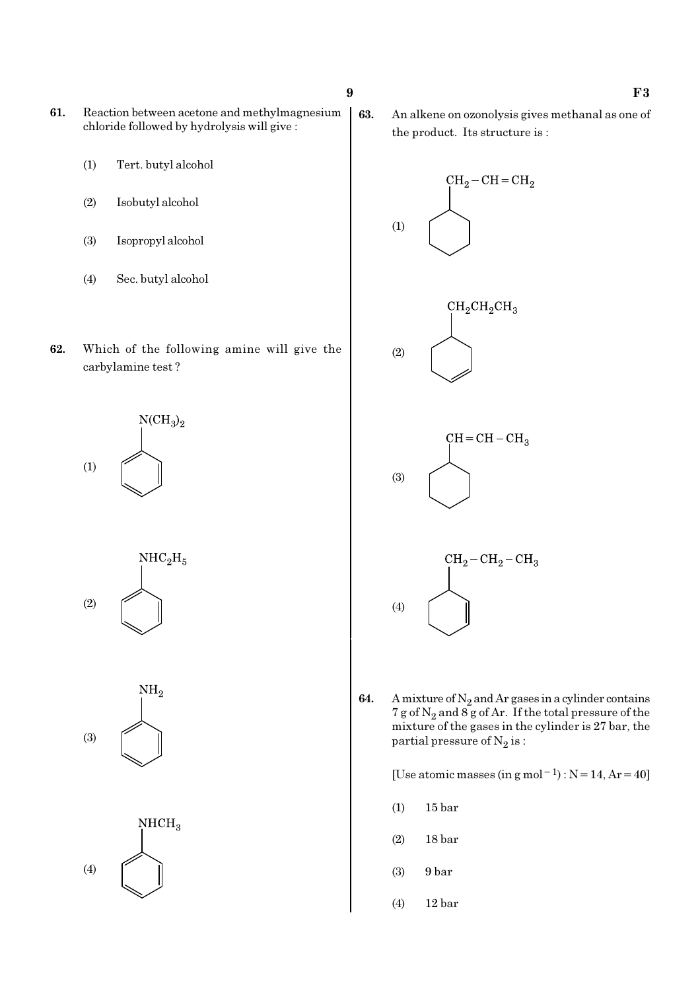- 61. Reaction between acetone and methylmagnesium chloride followed by hydrolysis will give :
	- (1) Tert. butyl alcohol
	- (2) Isobutyl alcohol
	- (3) Isopropyl alcohol
	- (4) Sec. butyl alcohol
- 62. Which of the following amine will give the carbylamine test ?

 $NCH<sub>3</sub>2$ (1)



 $NH<sub>2</sub>$ (3)



63. An alkene on ozonolysis gives methanal as one of the product. Its structure is :



**64.** A mixture of  $N_2$  and Ar gases in a cylinder contains 7 g of  $\mathrm{N}_2$  and 8 g of Ar. If the total pressure of the mixture of the gases in the cylinder is 27 bar, the partial pressure of  $\mathrm{N}_2 \, \mathrm{is}$  :

[Use atomic masses (in g mol<sup>-1</sup>) : N = 14, Ar = 40]

- (1) 15 bar
- (2) 18 bar
- (3) 9 bar
- (4) 12 bar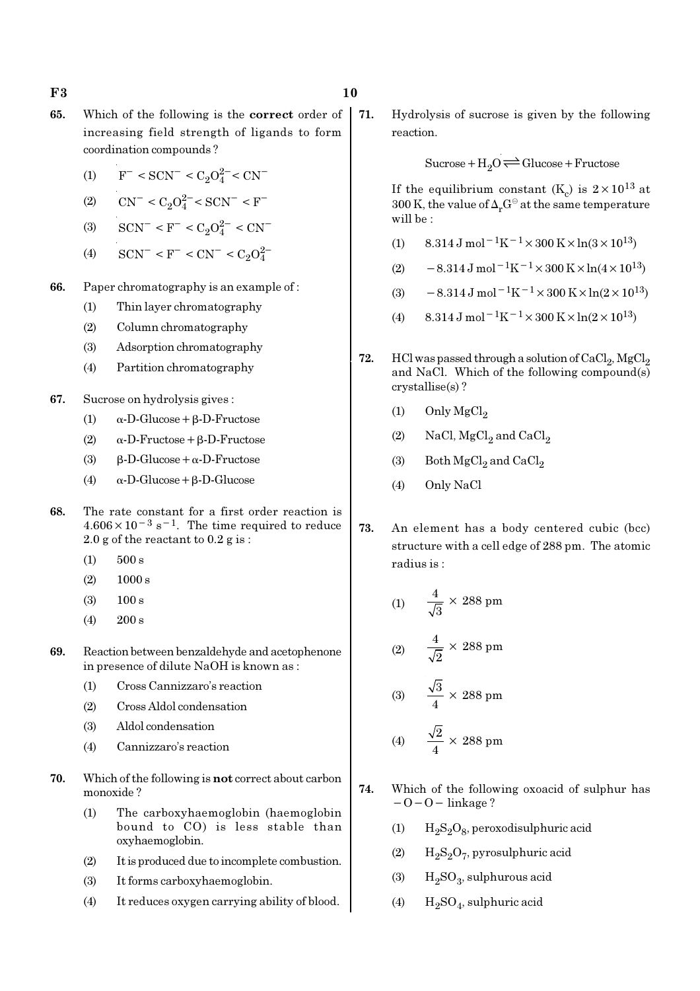65. Which of the following is the correct order of increasing field strength of ligands to form coordination compounds ?

$$
(1) \tF^- < SCN^- < C_2O_4^{2-} < CN^-
$$

- (2)  $CN^- < C_2O_4^{2-} < SCN^- < F^-$
- (3)  $\text{SCN}^- \leq F^- \leq C_2 O_4^{2-} \leq \text{CN}^-$
- (4)  $\text{SCN}^-$  < F<sup>-</sup> < CN<sup>-</sup> < C<sub>2</sub> $\text{O}_4^{2-}$
- 66. Paper chromatography is an example of :
	- (1) Thin layer chromatography
	- (2) Column chromatography
	- (3) Adsorption chromatography
	- (4) Partition chromatography
- 67. Sucrose on hydrolysis gives :
	- (1)  $\alpha$ -D-Glucose + β-D-Fructose
	- (2) α-D-Fructose+β-D-Fructose
	- (3)  $β-D-Glucose + α-D-Fructose$
	- (4) α-D-Glucose+β-D-Glucose
- 68. The rate constant for a first order reaction is  $4.606 \times 10^{-3}$  s<sup>-1</sup>. The time required to reduce 2.0 g of the reactant to 0.2 g is :
	- $(1)$  500 s
	- $(2)$  1000 s
	- (3) 100 s
	- (4) 200 s
- 69. Reaction between benzaldehyde and acetophenone in presence of dilute NaOH is known as :
	- (1) Cross Cannizzaro's reaction
	- (2) Cross Aldol condensation
	- (3) Aldol condensation
	- (4) Cannizzaro's reaction
- 70. Which of the following is not correct about carbon monoxide ?
	- (1) The carboxyhaemoglobin (haemoglobin bound to CO) is less stable than oxyhaemoglobin.
	- (2) It is produced due to incomplete combustion.
	- (3) It forms carboxyhaemoglobin.
	- (4) It reduces oxygen carrying ability of blood.

71. Hydrolysis of sucrose is given by the following reaction.

 $Sucrose+H_2O \rightleftharpoons Glucose+Fructose$ 

If the equilibrium constant (K<sub>c</sub>) is  $2 \times 10^{13}$  at 300 K, the value of  $\Delta_r G^\ominus$  at the same temperature will be :

- (1)  $8.314 \text{ J mol}^{-1}\text{K}^{-1} \times 300 \text{ K} \times \ln(3 \times 10^{13})$
- (2)  $-8.314 \text{ J} \text{ mol}^{-1} \text{K}^{-1} \times 300 \text{ K} \times \ln(4 \times 10^{13})$
- (3)  $-8.314 \,\mathrm{J} \,\mathrm{mol}^{-1} \mathrm{K}^{-1} \times 300 \,\mathrm{K} \times \ln(2 \times 10^{13})$
- (4)  $8.314 \text{ J mol}^{-1} \text{K}^{-1} \times 300 \text{ K} \times \ln(2 \times 10^{13})$
- **72.** HCl was passed through a solution of  $\text{CaCl}_2$ ,  $\text{MgCl}_2$ and NaCl. Which of the following compound(s) crystallise(s) ?
	- (1) Only  $MgCl<sub>2</sub>$
	- (2) NaCl,  $MgCl<sub>2</sub>$  and  $CaCl<sub>2</sub>$
	- (3) Both  $\mathrm{MgCl}_2$  and  $\mathrm{CaCl}_2$
	- (4) Only NaCl
- 73. An element has a body centered cubic (bcc) structure with a cell edge of 288 pm. The atomic radius is :
	- (1)  $\frac{4}{\sqrt{2}} \times 288 \text{ pm}$ 3

$$
(2) \qquad \frac{4}{\sqrt{2}} \times 288 \text{ pm}
$$

$$
(3) \qquad \frac{\sqrt{3}}{4} \times 288 \text{ pm}
$$

$$
(4) \qquad \frac{\sqrt{2}}{4} \times 288 \text{ pm}
$$

- 74. Which of the following oxoacid of sulphur has  $-O-O-$  linkage ?
	- (1)  $\rm{H_2S_2O_8}$ , peroxodisulphuric acid
	- (2)  $H_2S_2O_7$ , pyrosulphuric acid
	- (3)  $H_2SO_3$ , sulphurous acid
	- (4)  $H_2SO_4$ , sulphuric acid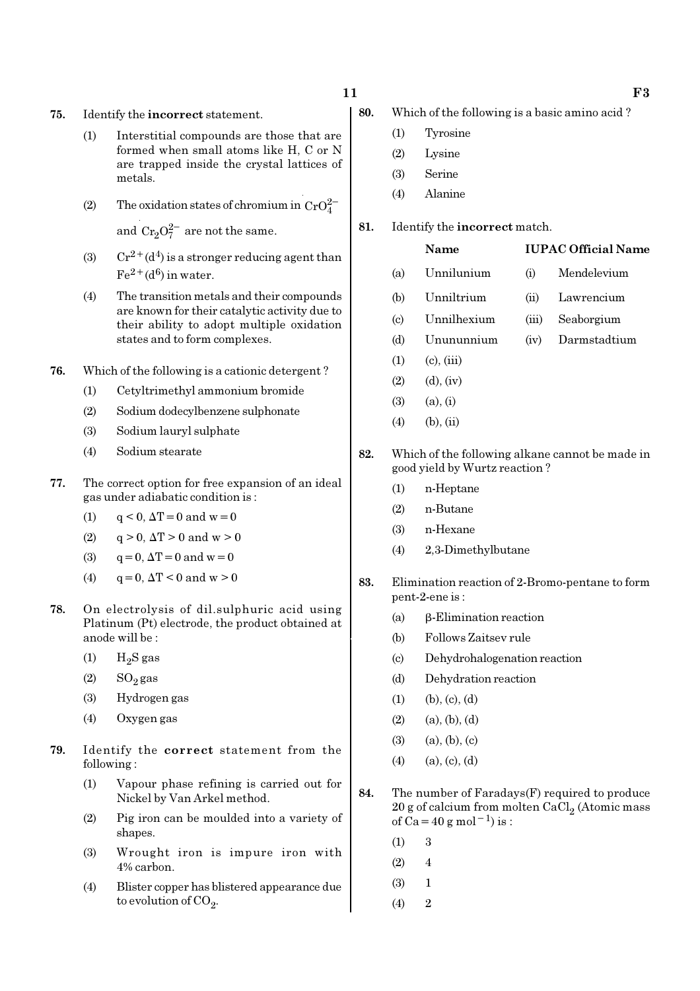- 75. Identify the incorrect statement.
	- (1) Interstitial compounds are those that are formed when small atoms like H, C or N are trapped inside the crystal lattices of metals.
	- (2) The oxidation states of chromium in  $CrO_4^{2-}$ and  $Cr_2O_7^{2-}$  are not the same.
	- (3) Cr<sup>2+</sup>(d<sup>4</sup>) is a stronger reducing agent than  $Fe^{2+}(d^6)$  in water.
	- (4) The transition metals and their compounds are known for their catalytic activity due to their ability to adopt multiple oxidation states and to form complexes.
- 76. Which of the following is a cationic detergent ?
	- (1) Cetyltrimethyl ammonium bromide
	- (2) Sodium dodecylbenzene sulphonate
	- (3) Sodium lauryl sulphate
	- (4) Sodium stearate
- 77. The correct option for free expansion of an ideal gas under adiabatic condition is :
	- (1)  $q < 0$ ,  $\Delta T = 0$  and  $w = 0$
	- (2)  $q > 0$ ,  $\Delta T > 0$  and  $w > 0$
	- (3)  $q = 0, \Delta T = 0$  and  $w = 0$
	- (4)  $q = 0$ ,  $\Delta T < 0$  and  $w > 0$
- 78. On electrolysis of dil.sulphuric acid using Platinum (Pt) electrode, the product obtained at anode will be :
	- (1)  $H_2S$  gas
	- $(2)$  SO<sub>2</sub> gas
	- (3) Hydrogen gas
	- (4) Oxygen gas
- 79. Identify the correct statement from the following :
	- (1) Vapour phase refining is carried out for Nickel by Van Arkel method.
	- (2) Pig iron can be moulded into a variety of shapes.
	- (3) Wrought iron is impure iron with 4% carbon.
	- (4) Blister copper has blistered appearance due to evolution of CO<sub>2</sub>.
- 80. Which of the following is a basic amino acid ?
	- (1) Tyrosine
	- (2) Lysine
	- (3) Serine
	- (4) Alanine
- 81. Identify the incorrect match.

### Name IUPAC Official Name

- (a) Unnilunium (i) Mendelevium
- (b) Unniltrium (ii) Lawrencium
- (c) Unnilhexium (iii) Seaborgium
- (d) Unununnium (iv) Darmstadtium
- $(1)$   $(c)$ ,  $(iii)$
- $(2)$   $(d), (iv)$
- $(3)$   $(a), (i)$
- $(4)$  (b), (ii)
- 82. Which of the following alkane cannot be made in good yield by Wurtz reaction ?
	- (1) n-Heptane
	- (2) n-Butane
	- (3) n-Hexane
	- (4) 2,3-Dimethylbutane
- 83. Elimination reaction of 2-Bromo-pentane to form pent-2-ene is :
	- (a) β-Elimination reaction
	- (b) Follows Zaitsev rule
	- (c) Dehydrohalogenation reaction
	- (d) Dehydration reaction
	- $(1)$   $(b), (c), (d)$
	- $(2)$   $(a), (b), (d)$
	- $(3)$   $(a), (b), (c)$
	- $(4)$  (a), (c), (d)
- 84. The number of Faradays(F) required to produce  $20$  g of calcium from molten CaCl $_2$  (Atomic mass of Ca=40 g mol<sup>-1</sup>) is :
	- $(1)$  3
	- $(2) 4$
	- $(3) 1$
	- $(4)$  2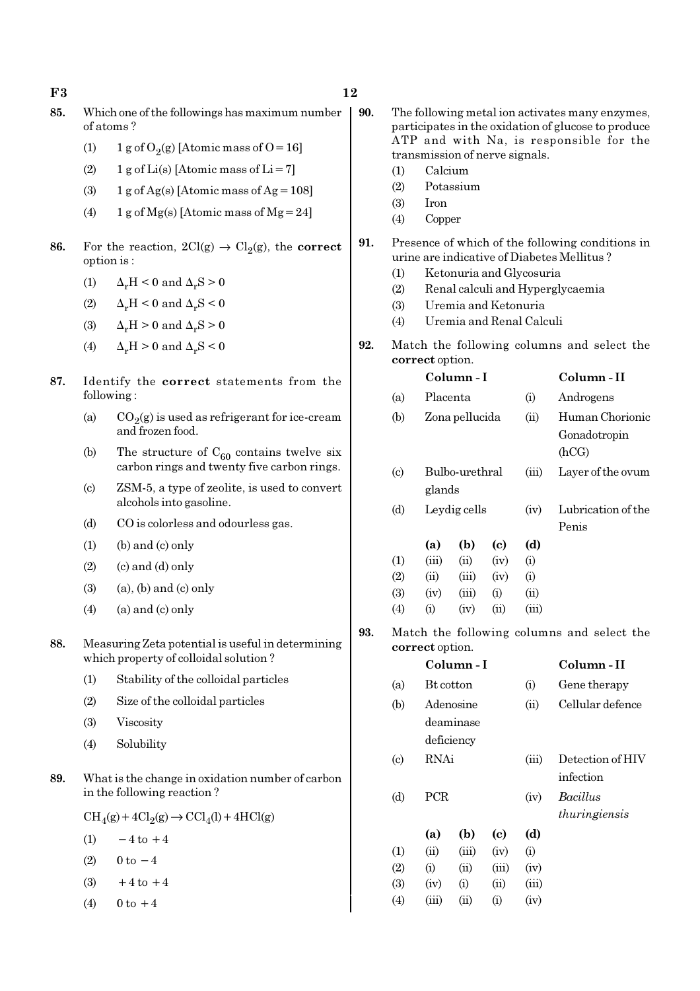- 
- $F3$  and  $12$ 85. Which one of the followings has maximum number of atoms ?
	- (1) 1 g of  $O_2(g)$  [Atomic mass of O = 16]
	- (2) 1 g of  $Li(s)$  [Atomic mass of  $Li = 7$ ]
	- (3) 1 g of Ag(s) [Atomic mass of Ag =  $108$ ]
	- (4) 1 g of Mg(s) [Atomic mass of Mg = 24]
- 86. For the reaction,  $2Cl(g) \rightarrow Cl_2(g)$ , the correct option is :
	- (1)  $\Delta_r H \leq 0$  and  $\Delta_r S > 0$
	- (2)  $\Delta_v H \leq 0$  and  $\Delta_v S \leq 0$
	- (3)  $\Delta_r H > 0$  and  $\Delta_r S > 0$
	- (4)  $\Delta_r H > 0$  and  $\Delta_r S < 0$
- 87. Identify the correct statements from the following :
	- (a)  $CO_2(g)$  is used as refrigerant for ice-cream and frozen food.
	- (b) The structure of  $C_{60}$  contains twelve six carbon rings and twenty five carbon rings.
	- (c) ZSM-5, a type of zeolite, is used to convert alcohols into gasoline.
	- (d) CO is colorless and odourless gas.
	- $(1)$  (b) and  $(c)$  only
	- $(2)$   $(c)$  and  $(d)$  only
	- $(3)$   $(a)$ ,  $(b)$  and  $(c)$  only
	- $(4)$  (a) and (c) only
- 88. Measuring Zeta potential is useful in determining which property of colloidal solution ?
	- (1) Stability of the colloidal particles
	- (2) Size of the colloidal particles
	- (3) Viscosity
	- (4) Solubility
- 89. What is the change in oxidation number of carbon in the following reaction ?

 $\text{CH}_4(g) + 4\text{Cl}_2(g) \rightarrow \text{CCl}_4(l) + 4\text{HCl}(g)$ 

- (1)  $-4$  to  $+4$
- (2) 0 to  $-4$
- (3)  $+4$  to  $+4$
- (4)  $0 \text{ to } +4$
- 90. The following metal ion activates many enzymes, participates in the oxidation of glucose to produce ATP and with Na, is responsible for the transmission of nerve signals.
	- (1) Calcium
	- (2) Potassium
	- (3) Iron
	- (4) Copper
- 91. Presence of which of the following conditions in urine are indicative of Diabetes Mellitus ?
	- (1) Ketonuria and Glycosuria
	- (2) Renal calculi and Hyperglycaemia
	- (3) Uremia and Ketonuria
	- (4) Uremia and Renal Calculi
- 92. Match the following columns and select the correct option.

|     |                            |                 | Column - I     |      |       | Column - II                                |
|-----|----------------------------|-----------------|----------------|------|-------|--------------------------------------------|
|     | (a)                        | Placenta        |                |      | (i)   | Androgens                                  |
|     | (b)                        |                 | Zona pellucida |      | (ii)  | Human Chorionic                            |
|     |                            |                 |                |      |       | Gonadotropin                               |
|     |                            |                 |                |      |       | (hCG)                                      |
|     | $\left( \mathrm{c}\right)$ |                 | Bulbo-urethral |      | (iii) | Layer of the ovum                          |
|     |                            | glands          |                |      |       |                                            |
|     | (d)                        |                 | Leydig cells   |      | (iv)  | Lubrication of the                         |
|     |                            |                 |                |      |       | Penis                                      |
|     |                            | (a)             | (b)            | (c)  | (d)   |                                            |
|     | (1)                        | (iii)           | (ii)           | (iv) | (i)   |                                            |
|     | (2)                        | (ii)            | (iii)          | (iv) | (i)   |                                            |
|     | (3)                        | (iv)            | (iii)          | (i)  | (ii)  |                                            |
|     | (4)                        | (i)             | (iv)           | (ii) | (iii) |                                            |
| 93. |                            | correct option. |                |      |       | Match the following columns and select the |
|     |                            |                 | Column - I     |      |       | Column - II                                |

|                             |                  | UULULLILI - L |                            |       | UULULLIILE - 11  |
|-----------------------------|------------------|---------------|----------------------------|-------|------------------|
| (a)                         | <b>Bt</b> cotton |               |                            | (i)   | Gene therapy     |
| (b)                         |                  | Adenosine     |                            | (ii)  | Cellular defence |
|                             |                  | deaminase     |                            |       |                  |
|                             |                  | deficiency    |                            |       |                  |
| $\left( \mathrm{c} \right)$ | RNAi             |               |                            | (iii) | Detection of HIV |
|                             |                  |               |                            |       | infection        |
| (d)                         | PCR              |               |                            | (iv)  | Bacillus         |
|                             |                  |               |                            |       | thuringiensis    |
|                             | (a)              | (b)           | $\left( \mathrm{e}\right)$ | (d)   |                  |
| (1)                         | (ii)             | (iii)         | (iv)                       | (i)   |                  |
| (2)                         | (i)              | (ii)          | (iii)                      | (iv)  |                  |
| (3)                         | (iv)             | (i)           | (ii)                       | (iii) |                  |
| $\left( 4\right)$           | (iii)            | (ii)          | $\rm(i)$                   | (iv)  |                  |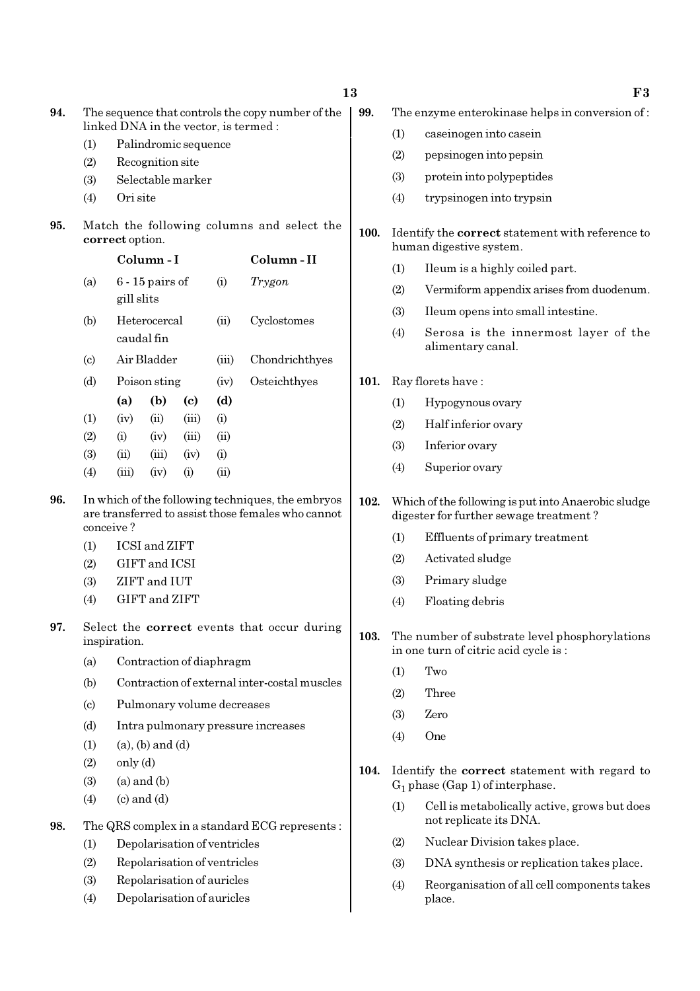|     |                            |            |                                                                                           |                      |       |                | 13 |
|-----|----------------------------|------------|-------------------------------------------------------------------------------------------|----------------------|-------|----------------|----|
| 94. |                            |            | The sequence that controls the copy number of the<br>linked DNA in the vector, is termed: |                      |       |                |    |
|     | (1)                        |            |                                                                                           | Palindromic sequence |       |                |    |
|     | (2)                        |            | Recognition site                                                                          |                      |       |                |    |
|     | (3)                        |            |                                                                                           | Selectable marker    |       |                |    |
|     | (4)                        | Ori site   |                                                                                           |                      |       |                |    |
| 95. |                            |            | Match the following columns and select the<br>correct option.                             |                      |       |                |    |
|     |                            |            | Column - I                                                                                |                      |       | Column-II      |    |
|     | (a)                        | gill slits | $6 - 15$ pairs of                                                                         |                      | (i)   | Trygon         |    |
|     | (b)                        |            | Heterocercal<br>caudal fin                                                                |                      | (ii)  | Cyclostomes    |    |
|     | $\left( \mathrm{c}\right)$ |            | Air Bladder                                                                               |                      | (iii) | Chondrichthyes |    |
|     | (d)                        |            | Poison sting                                                                              |                      |       | Osteichthyes   |    |
|     |                            | (a)        | (b)                                                                                       | (c)                  | (d)   |                |    |
|     | (1)                        | (iv)       | (ii)                                                                                      | (iii)                | (i)   |                |    |
|     | (2)                        | (i)        | (iv)                                                                                      | (iii)                | (ii)  |                |    |
|     | (3)                        | (ii)       | (iii)                                                                                     | (iv)                 | (i)   |                |    |
|     | (4)                        | (iii)      | (iv)                                                                                      | (i)                  | (ii)  |                |    |
|     |                            |            |                                                                                           |                      |       |                |    |

- 96. In which of the following techniques, the embryos are transferred to assist those females who cannot conceive ?
	- (1) ICSI and ZIFT
	- (2) GIFT and ICSI
	- (3) ZIFT and IUT
	- (4) GIFT and ZIFT
- 97. Select the correct events that occur during inspiration.
	- (a) Contraction of diaphragm
	- (b) Contraction of external inter-costal muscles
	- (c) Pulmonary volume decreases
	- (d) Intra pulmonary pressure increases
	- $(1)$   $(a)$ ,  $(b)$  and  $(d)$
	- $(2)$  only  $(d)$
	- $(3)$   $(a)$  and  $(b)$
	- $(4)$   $(c)$  and  $(d)$
- 98. The QRS complex in a standard ECG represents :
	- (1) Depolarisation of ventricles
	- (2) Repolarisation of ventricles
	- (3) Repolarisation of auricles
	- (4) Depolarisation of auricles
- 99. The enzyme enterokinase helps in conversion of :
	- (1) caseinogen into casein
	- (2) pepsinogen into pepsin
	- (3) protein into polypeptides
	- (4) trypsinogen into trypsin
- 100. Identify the correct statement with reference to human digestive system.
	- (1) Ileum is a highly coiled part.
	- (2) Vermiform appendix arises from duodenum.
	- (3) Ileum opens into small intestine.
	- (4) Serosa is the innermost layer of the alimentary canal.

### 101. Ray florets have :

- (1) Hypogynous ovary
- (2) Half inferior ovary
- (3) Inferior ovary
- (4) Superior ovary
- 102. Which of the following is put into Anaerobic sludge digester for further sewage treatment ?
	- (1) Effluents of primary treatment
	- (2) Activated sludge
	- (3) Primary sludge
	- (4) Floating debris
- 103. The number of substrate level phosphorylations in one turn of citric acid cycle is :
	- (1) Two
	- (2) Three
	- (3) Zero
	- (4) One
- 104. Identify the correct statement with regard to  $G_1$  phase (Gap 1) of interphase.
	- (1) Cell is metabolically active, grows but does not replicate its DNA.
	- (2) Nuclear Division takes place.
	- (3) DNA synthesis or replication takes place.
	- (4) Reorganisation of all cell components takes place.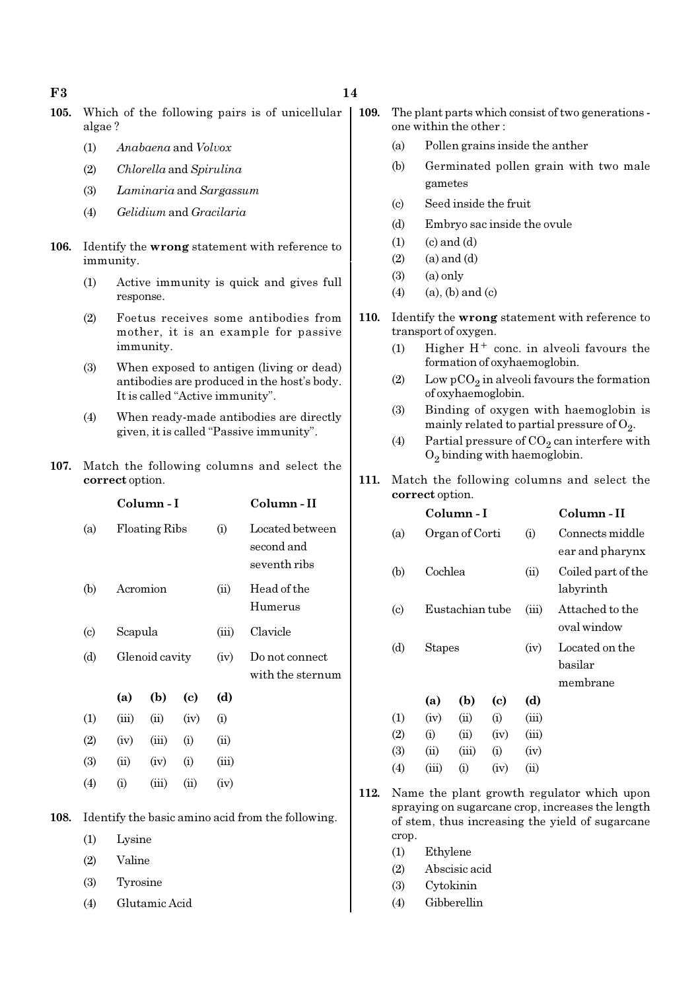- 105. Which of the following pairs is of unicellular algae ?
	- (1) Anabaena and Volvox
	- (2) Chlorella and Spirulina
	- (3) Laminaria and Sargassum
	- (4) Gelidium and Gracilaria
- 106. Identify the wrong statement with reference to immunity.
	- (1) Active immunity is quick and gives full response.
	- (2) Foetus receives some antibodies from mother, it is an example for passive immunity.
	- (3) When exposed to antigen (living or dead) antibodies are produced in the host's body. It is called "Active immunity".
	- (4) When ready-made antibodies are directly given, it is called "Passive immunity".
- 107. Match the following columns and select the correct option.

|                             |         | Column - I           |                            |            | Column-II                                     |
|-----------------------------|---------|----------------------|----------------------------|------------|-----------------------------------------------|
| (a)                         |         | <b>Floating Ribs</b> |                            | (i)        | Located between<br>second and<br>seventh ribs |
| (b)                         |         | Acromion             |                            |            | Head of the<br>Humerus                        |
| $\left( \mathrm{c} \right)$ | Scapula |                      |                            | (iii)      | Clavicle                                      |
| (d)                         |         | Glenoid cavity       |                            |            | Do not connect<br>with the sternum            |
|                             | (a)     | (b)                  | $\left( \mathrm{e}\right)$ | (d)        |                                               |
| $\left(1\right)$            | (iii)   | (ii)                 | (iv)                       | (i)        |                                               |
| (2)                         | (iv)    | (iii)                | (i)                        | $\rm (ii)$ |                                               |
| (3)                         | (ii)    | (iv)                 | (i)                        | (iii)      |                                               |
| $\left( 4\right)$           | (i)     | (iii)                | (ii)                       | (iv)       |                                               |

- 108. Identify the basic amino acid from the following.
	- (1) Lysine
	- (2) Valine
	- (3) Tyrosine
	- (4) Glutamic Acid
- 109. The plant parts which consist of two generations one within the other :
	- (a) Pollen grains inside the anther
	- (b) Germinated pollen grain with two male gametes
	- (c) Seed inside the fruit
	- (d) Embryo sac inside the ovule
	- $(1)$   $(c)$  and  $(d)$
	- $(2)$   $(a)$  and  $(d)$
	- $(3)$   $(a)$  only
	- $(4)$   $(a)$ ,  $(b)$  and  $(c)$
- 110. Identify the wrong statement with reference to transport of oxygen.
	- (1) Higher  $H^+$  conc. in alveoli favours the formation of oxyhaemoglobin.
	- (2) Low  $pCO_2$  in alveoli favours the formation of oxyhaemoglobin.
	- (3) Binding of oxygen with haemoglobin is mainly related to partial pressure of  $\mathrm{O}_2.$
	- (4) Partial pressure of  $\mathrm{CO}_2$  can interfere with  $O_2$  binding with haemoglobin.
- 111. Match the following columns and select the correct option.

|                             |           | Column - I      |          |           | Column - II        |
|-----------------------------|-----------|-----------------|----------|-----------|--------------------|
| (a)                         |           | Organ of Corti  |          | (i)       | Connects middle    |
|                             |           |                 |          |           | ear and pharynx    |
| (b)                         | Cochlea   |                 |          | (ii)      | Coiled part of the |
|                             |           |                 |          |           | labyrinth          |
| $\left( \mathrm{c} \right)$ |           | Eustachian tube |          | (iii)     | Attached to the    |
|                             |           |                 |          |           | oval window        |
| (d)                         | Stapes    |                 |          | (iv)      | Located on the     |
|                             |           |                 |          |           | basilar            |
|                             |           |                 |          |           | membrane           |
|                             | (a)       | (b)             | (c)      | (d)       |                    |
| $\left(1\right)$            | (iv)      | (ii)            | (i)      | (iii)     |                    |
| (2)                         | (i)       | (ii)            | (iv)     | (iii)     |                    |
| (3)                         | (ii)      | (iii)           | $\rm(i)$ | (iv)      |                    |
| $\left( 4\right)$           | (iii)     | (i)             | (iv)     | (ii)      |                    |
| ът.                         | $\cdot$ 1 | п.              |          | $\cdot$ 1 |                    |

- 112. Name the plant growth regulator which upon spraying on sugarcane crop, increases the length of stem, thus increasing the yield of sugarcane crop.
	- (1) Ethylene
	- (2) Abscisic acid
	- (3) Cytokinin
	- (4) Gibberellin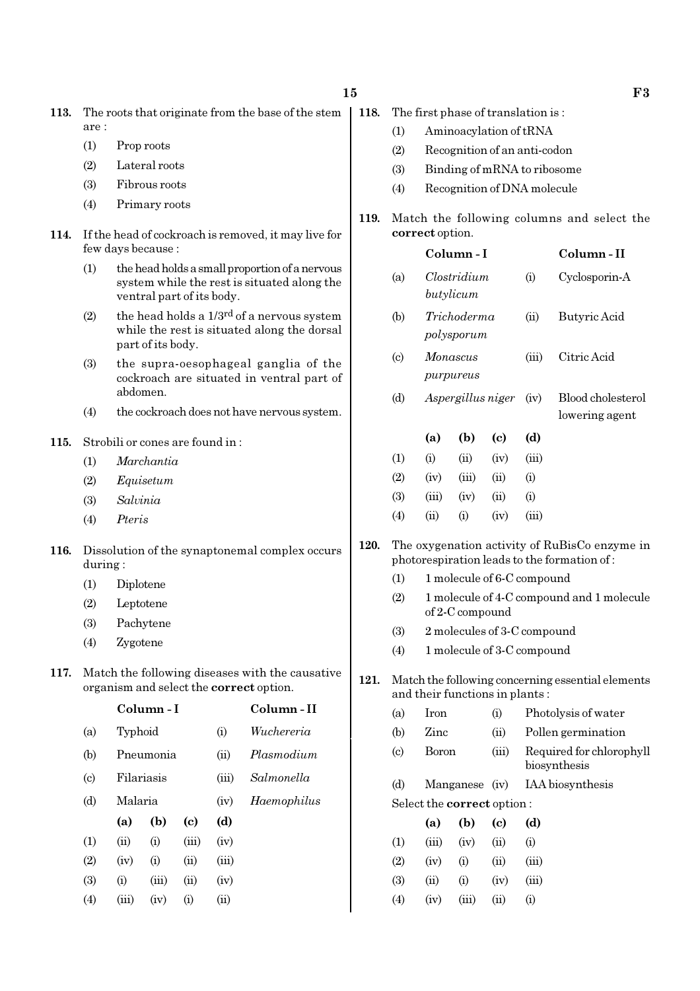| 15 | F3 |
|----|----|

- (1) Prop roots
- (2) Lateral roots
- (3) Fibrous roots
- (4) Primary roots
- 114. If the head of cockroach is removed, it may live for few days because :
	- (1) the head holds a small proportion of a nervous system while the rest is situated along the ventral part of its body.
	- (2) the head holds a  $1/3^{rd}$  of a nervous system while the rest is situated along the dorsal part of its body.
	- (3) the supra-oesophageal ganglia of the cockroach are situated in ventral part of abdomen.
	- (4) the cockroach does not have nervous system.
- 115. Strobili or cones are found in :
	- (1) Marchantia
	- (2) Equisetum
	- (3) Salvinia
	- (4) Pteris
- 116. Dissolution of the synaptonemal complex occurs during :
	- (1) Diplotene
	- (2) Leptotene
	- (3) Pachytene
	- (4) Zygotene
- 117. Match the following diseases with the causative organism and select the correct option.

|                             |         | Column - I |       |       | Column - II |
|-----------------------------|---------|------------|-------|-------|-------------|
| (a)                         | Typhoid |            |       | (i)   | Wuchereria  |
| (b)                         |         | Pneumonia  |       | (ii)  | Plasmodium  |
| $\left( \mathrm{c} \right)$ |         | Filariasis |       | (iii) | Salmonella  |
| (d)                         | Malaria |            |       | (iv)  | Haemophilus |
|                             | (a)     | (b)        | (c)   | (d)   |             |
| (1)                         | (ii)    | (i)        | (iii) | (iv)  |             |
| (2)                         | (iv)    | (i)        | (ii)  | (iii) |             |
| (3)                         | (i)     | (iii)      | (ii)  | (iv)  |             |
| (4)                         | (iii)   | (iv)       | (i)   | (ii)  |             |

- 118. The first phase of translation is :
	- (1) Aminoacylation of tRNA
	- (2) Recognition of an anti-codon
	- (3) Binding of mRNA to ribosome
	- (4) Recognition of DNA molecule
- 119. Match the following columns and select the correct option.

|      |     |                                                                                              | Column - I                  |                            |       | Column-II                                 |  |  |  |  |
|------|-----|----------------------------------------------------------------------------------------------|-----------------------------|----------------------------|-------|-------------------------------------------|--|--|--|--|
|      | (a) |                                                                                              | Clostridium                 |                            | (i)   | Cyclosporin-A                             |  |  |  |  |
|      | (b) | butylicum<br>Trichoderma<br>polysporum<br>$\left( \text{c} \right)$<br>Monascus<br>purpureus |                             |                            | (ii)  | Butyric Acid                              |  |  |  |  |
|      |     |                                                                                              |                             |                            | (iii) | Citric Acid                               |  |  |  |  |
|      | (d) |                                                                                              | Aspergillus niger           |                            |       | Blood cholesterol<br>lowering agent       |  |  |  |  |
|      |     | (a)                                                                                          | (b)                         | $\left( \mathrm{e}\right)$ | (d)   |                                           |  |  |  |  |
|      | (1) | (i)                                                                                          | (ii)                        | (iv)                       | (iii) |                                           |  |  |  |  |
|      | (2) | (iv)                                                                                         | (iii)                       | (ii)                       | (i)   |                                           |  |  |  |  |
|      | (3) | (iii)                                                                                        | (iv)                        | (ii)                       | (i)   |                                           |  |  |  |  |
|      | (4) | (ii)                                                                                         | (i)                         | (iv)                       | (iii) |                                           |  |  |  |  |
| 120. |     | The oxygenation activity of RuBisCo enzyme in<br>photorespiration leads to the formation of: |                             |                            |       |                                           |  |  |  |  |
|      | (1) |                                                                                              | 1 molecule of 6-C compound  |                            |       |                                           |  |  |  |  |
|      | (2) |                                                                                              | of 2-C compound             |                            |       | 1 molecule of 4-C compound and 1 molecule |  |  |  |  |
|      | (3) |                                                                                              | 2 molecules of 3-C compound |                            |       |                                           |  |  |  |  |
|      | (4) |                                                                                              | 1 molecule of 3-C compound  |                            |       |                                           |  |  |  |  |
| 121. |     | Match the following concerning essential elements<br>and their functions in plants:          |                             |                            |       |                                           |  |  |  |  |
|      | (a) | Iron                                                                                         |                             | (i)                        |       | Photolysis of water                       |  |  |  |  |
|      | (b) | Zinc                                                                                         |                             | (ii)                       |       | Pollen germination                        |  |  |  |  |
|      | (c) | Boron                                                                                        |                             | (iii)                      |       | Required for chlorophyll<br>biosynthesis  |  |  |  |  |
|      | (d) |                                                                                              | Manganese                   | (iv)                       |       | IAA biosynthesis                          |  |  |  |  |
|      |     |                                                                                              | Select the correct option:  |                            |       |                                           |  |  |  |  |
|      |     | (a)                                                                                          | (b)                         | $\left( \mathrm{c}\right)$ | (d)   |                                           |  |  |  |  |

|                   | (a)   | (D)   | (C)  | <b>(α)</b>        |
|-------------------|-------|-------|------|-------------------|
| $\left(1\right)$  | (iii) | (iv)  | (ii) | (i)               |
| (2)               | (iv)  | (i)   | (ii) | (iii)             |
| (3)               | (ii)  | (i)   | (iv) | (iii)             |
| $\left( 4\right)$ | (iv)  | (iii) | (11) | $\left( 1\right)$ |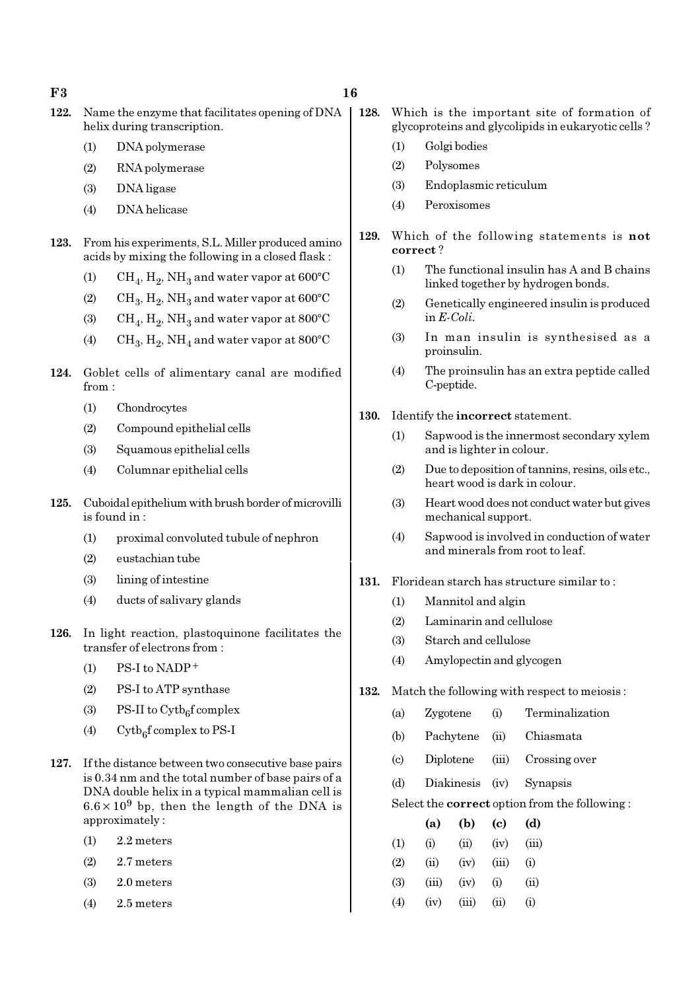- 122. Name the enzyme that facilitates opening of DNA helix during transcription.
	- (1) DNA polymerase
	- (2) RNA polymerase
	- (3) DNA ligase
	- (4) DNA helicase
- 123. From his experiments, S.L. Miller produced amino acids by mixing the following in a closed flask :
	- (1)  $\mathrm{CH}_4, \mathrm{H}_2, \mathrm{NH}_3$  and water vapor at 600°C
	- (2)  $\mathrm{CH}_3, \mathrm{H}_2, \mathrm{NH}_3$  and water vapor at 600°C
	- (3)  $\mathrm{CH}_4, \mathrm{H}_2, \mathrm{NH}_3$  and water vapor at 800°C
	- (4)  $\text{CH}_3, \text{H}_2, \text{NH}_4$  and water vapor at 800°C
- 124. Goblet cells of alimentary canal are modified from :
	- (1) Chondrocytes
	- (2) Compound epithelial cells
	- (3) Squamous epithelial cells
	- (4) Columnar epithelial cells
- 125. Cuboidal epithelium with brush border of microvilli is found in :
	- (1) proximal convoluted tubule of nephron
	- (2) eustachian tube
	- (3) lining of intestine
	- (4) ducts of salivary glands
- 126. In light reaction, plastoquinone facilitates the transfer of electrons from :
	- $(1)$  PS-I to NADP<sup>+</sup>
	- (2) PS-I to ATP synthase
	- (3) PS-II to  $\text{Cytb}_6\text{f}$  complex
	- (4) Cytb<sub>6</sub>f complex to PS-I
- 127. If the distance between two consecutive base pairs is 0.34 nm and the total number of base pairs of a DNA double helix in a typical mammalian cell is  $6.6 \times 10^9$  bp, then the length of the DNA is approximately :
	- (1) 2.2 meters
	- (2) 2.7 meters
	- (3) 2.0 meters
	- (4) 2.5 meters
- 128. Which is the important site of formation of glycoproteins and glycolipids in eukaryotic cells ?
	- (1) Golgi bodies
	- (2) Polysomes
	- (3) Endoplasmic reticulum
	- (4) Peroxisomes
- 129. Which of the following statements is not correct ?
	- (1) The functional insulin has A and B chains linked together by hydrogen bonds.
	- (2) Genetically engineered insulin is produced in E-Coli.
	- (3) In man insulin is synthesised as a proinsulin.
	- (4) The proinsulin has an extra peptide called C-peptide.
- 130. Identify the incorrect statement.
	- (1) Sapwood is the innermost secondary xylem and is lighter in colour.
	- (2) Due to deposition of tannins, resins, oils etc., heart wood is dark in colour.
	- (3) Heart wood does not conduct water but gives mechanical support.
	- (4) Sapwood is involved in conduction of water and minerals from root to leaf.
- 131. Floridean starch has structure similar to :
	- (1) Mannitol and algin
	- (2) Laminarin and cellulose
	- (3) Starch and cellulose
	- (4) Amylopectin and glycogen
- 132. Match the following with respect to meiosis :
	- (a) Zygotene (i) Terminalization
	- (b) Pachytene (ii) Chiasmata
	- (c) Diplotene (iii) Crossing over
	- (d) Diakinesis (iv) Synapsis

### Select the correct option from the following :

|     | (a)      | (b)   | $\left( \mathrm{c} \right)$ | (d)   |
|-----|----------|-------|-----------------------------|-------|
| (1) | $\rm(i)$ | (ii)  | (iv)                        | (iii) |
| (2) | (ii)     | (iv)  | (iii)                       | (i)   |
| (3) | (iii)    | (iv)  | $\rm(i)$                    | (ii)  |
| (4) | (iv)     | (iii) | (ii)                        | (i)   |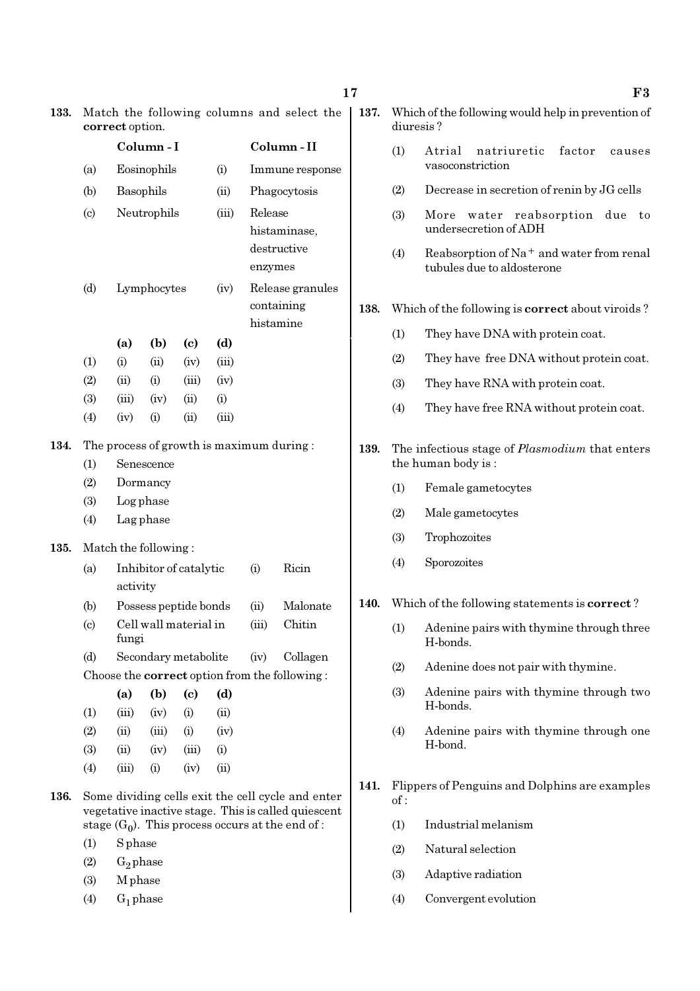| 133. | Match the following columns and select the<br>correct option. |                                |             |                            |       |         |                                                                                                                                                                |  |  |  |  |
|------|---------------------------------------------------------------|--------------------------------|-------------|----------------------------|-------|---------|----------------------------------------------------------------------------------------------------------------------------------------------------------------|--|--|--|--|
|      |                                                               |                                | Column - I  |                            |       |         | Column-II                                                                                                                                                      |  |  |  |  |
|      | (a)                                                           |                                | Eosinophils |                            | (i)   |         | Immune response                                                                                                                                                |  |  |  |  |
|      | (b)                                                           |                                | Basophils   |                            | (ii)  |         | Phagocytosis                                                                                                                                                   |  |  |  |  |
|      | $\left( \mathrm{c} \right)$                                   |                                | Neutrophils |                            | (iii) | Release | histaminase,                                                                                                                                                   |  |  |  |  |
|      |                                                               |                                |             |                            |       | enzymes | destructive                                                                                                                                                    |  |  |  |  |
|      | (d)                                                           |                                | Lymphocytes |                            | (iv)  |         | Release granules<br>containing<br>histamine                                                                                                                    |  |  |  |  |
|      |                                                               | (a)                            | (b)         | (c)                        | (d)   |         |                                                                                                                                                                |  |  |  |  |
|      | (1)                                                           | (i)                            | (ii)        | (iv)                       | (iii) |         |                                                                                                                                                                |  |  |  |  |
|      | (2)                                                           | (ii)                           | (i)         | (iii)                      | (iv)  |         |                                                                                                                                                                |  |  |  |  |
|      | (3)                                                           | (iii)                          | (iv)        | (ii)                       | (i)   |         |                                                                                                                                                                |  |  |  |  |
|      | (4)                                                           | (iv)                           | (i)         | (ii)                       | (iii) |         |                                                                                                                                                                |  |  |  |  |
| 134. | The process of growth is maximum during:                      |                                |             |                            |       |         |                                                                                                                                                                |  |  |  |  |
|      | (1)                                                           | Senescence                     |             |                            |       |         |                                                                                                                                                                |  |  |  |  |
|      | (2)                                                           |                                | Dormancy    |                            |       |         |                                                                                                                                                                |  |  |  |  |
|      | (3)                                                           |                                | Log phase   |                            |       |         |                                                                                                                                                                |  |  |  |  |
|      | (4)                                                           |                                | Lag phase   |                            |       |         |                                                                                                                                                                |  |  |  |  |
| 135. |                                                               | Match the following:           |             |                            |       |         |                                                                                                                                                                |  |  |  |  |
|      | (a)                                                           |                                |             | Inhibitor of catalytic     |       | (i)     | Ricin                                                                                                                                                          |  |  |  |  |
|      |                                                               | activity                       |             |                            |       |         |                                                                                                                                                                |  |  |  |  |
|      | (b)                                                           |                                |             | Possess peptide bonds      |       | (ii)    | Malonate                                                                                                                                                       |  |  |  |  |
|      | $\left( \text{c} \right)$                                     | Cell wall material in<br>fungi |             |                            |       |         | Chitin                                                                                                                                                         |  |  |  |  |
|      | (d)                                                           | Secondary metabolite           |             |                            |       | (iv)    | Collagen                                                                                                                                                       |  |  |  |  |
|      | Choose the <b>correct</b> option from the following:          |                                |             |                            |       |         |                                                                                                                                                                |  |  |  |  |
|      |                                                               | (a)                            | (b)         | $\left( \mathrm{c}\right)$ | (d)   |         |                                                                                                                                                                |  |  |  |  |
|      | (1)                                                           | (iii)                          | (iv)        | (i)                        | (ii)  |         |                                                                                                                                                                |  |  |  |  |
|      | (2)                                                           | (ii)                           | (iii)       | (i)                        | (iv)  |         |                                                                                                                                                                |  |  |  |  |
|      | (3)                                                           | (ii)                           | (iv)        | (iii)                      | (i)   |         |                                                                                                                                                                |  |  |  |  |
|      | (4)                                                           | (iii)                          | (i)         | (iv)                       | (ii)  |         |                                                                                                                                                                |  |  |  |  |
| 136. |                                                               |                                |             |                            |       |         | Some dividing cells exit the cell cycle and enter<br>vegetative inactive stage. This is called quiescent<br>stage $(G_0)$ . This process occurs at the end of: |  |  |  |  |
|      | (1)<br><b>S</b> phase                                         |                                |             |                            |       |         |                                                                                                                                                                |  |  |  |  |

- 
- $(2)$  G<sub>2</sub> phase
- (3) M phase
- (4)  $G_1$  phase

diuresis ? (1) Atrial natriuretic factor causes vasoconstriction (2) Decrease in secretion of renin by JG cells (3) More water reabsorption due to undersecretion of ADH (4) Reabsorption of Na<sup>+</sup> and water from renal tubules due to aldosterone 138. Which of the following is correct about viroids? (1) They have DNA with protein coat. (2) They have free DNA without protein coat. (3) They have RNA with protein coat. (4) They have free RNA without protein coat. 139. The infectious stage of *Plasmodium* that enters the human body is : (1) Female gametocytes (2) Male gametocytes (3) Trophozoites (4) Sporozoites 140. Which of the following statements is correct ? (1) Adenine pairs with thymine through three H-bonds. (2) Adenine does not pair with thymine. (3) Adenine pairs with thymine through two H-bonds. (4) Adenine pairs with thymine through one H-bond. 141. Flippers of Penguins and Dolphins are examples of :

137. Which of the following would help in prevention of

- (1) Industrial melanism
- (2) Natural selection
- (3) Adaptive radiation
- (4) Convergent evolution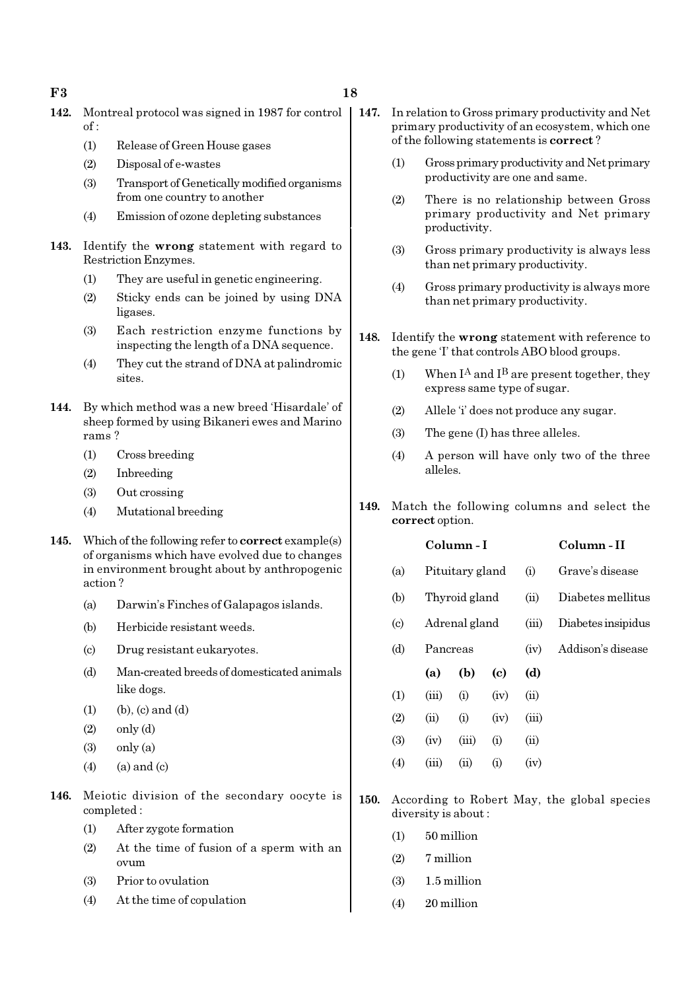- 142. Montreal protocol was signed in 1987 for control |  $of:$ 
	- (1) Release of Green House gases
	- (2) Disposal of e-wastes
	- (3) Transport of Genetically modified organisms from one country to another
	- (4) Emission of ozone depleting substances
- 143. Identify the wrong statement with regard to Restriction Enzymes.
	- (1) They are useful in genetic engineering.
	- (2) Sticky ends can be joined by using DNA ligases.
	- (3) Each restriction enzyme functions by inspecting the length of a DNA sequence.
	- (4) They cut the strand of DNA at palindromic sites.
- 144. By which method was a new breed 'Hisardale' of sheep formed by using Bikaneri ewes and Marino rams ?
	- (1) Cross breeding
	- (2) Inbreeding
	- (3) Out crossing
	- (4) Mutational breeding
- 145. Which of the following refer to **correct** example(s) of organisms which have evolved due to changes in environment brought about by anthropogenic action ?
	- (a) Darwin's Finches of Galapagos islands.
	- (b) Herbicide resistant weeds.
	- (c) Drug resistant eukaryotes.
	- (d) Man-created breeds of domesticated animals like dogs.
	- $(1)$   $(b)$ ,  $(c)$  and  $(d)$
	- $(2)$  only  $(d)$
	- (3) only (a)
	- $(4)$  (a) and (c)
- 146. Meiotic division of the secondary oocyte is completed :
	- (1) After zygote formation
	- (2) At the time of fusion of a sperm with an ovum
	- (3) Prior to ovulation
	- (4) At the time of copulation
- 147. In relation to Gross primary productivity and Net primary productivity of an ecosystem, which one of the following statements is correct ?
	- (1) Gross primary productivity and Net primary productivity are one and same.
	- (2) There is no relationship between Gross primary productivity and Net primary productivity.
	- (3) Gross primary productivity is always less than net primary productivity.
	- (4) Gross primary productivity is always more than net primary productivity.
- 148. Identify the wrong statement with reference to the gene 'I' that controls ABO blood groups.
	- (1) When  $I^A$  and  $I^B$  are present together, they express same type of sugar.
	- (2) Allele 'i' does not produce any sugar.
	- (3) The gene (I) has three alleles.
	- (4) A person will have only two of the three alleles.
- 149. Match the following columns and select the correct option.
	- Column I Column II (a) Pituitary gland (i) Grave's disease (b) Thyroid gland (ii) Diabetes mellitus (c) Adrenal gland (iii) Diabetes insipidus (d) Pancreas (iv) Addison's disease (a) (b) (c) (d)  $(1)$   $(iii)$   $(i)$   $(iv)$   $(ii)$ (2) (ii) (i) (iv) (iii)  $(3)$   $(iv)$   $(iii)$   $(i)$   $(ii)$  $(4)$   $(iii)$   $(ii)$   $(i)$   $(iv)$
- 150. According to Robert May, the global species diversity is about :
	- (1) 50 million
	- (2) 7 million
	- (3) 1.5 million
	- (4) 20 million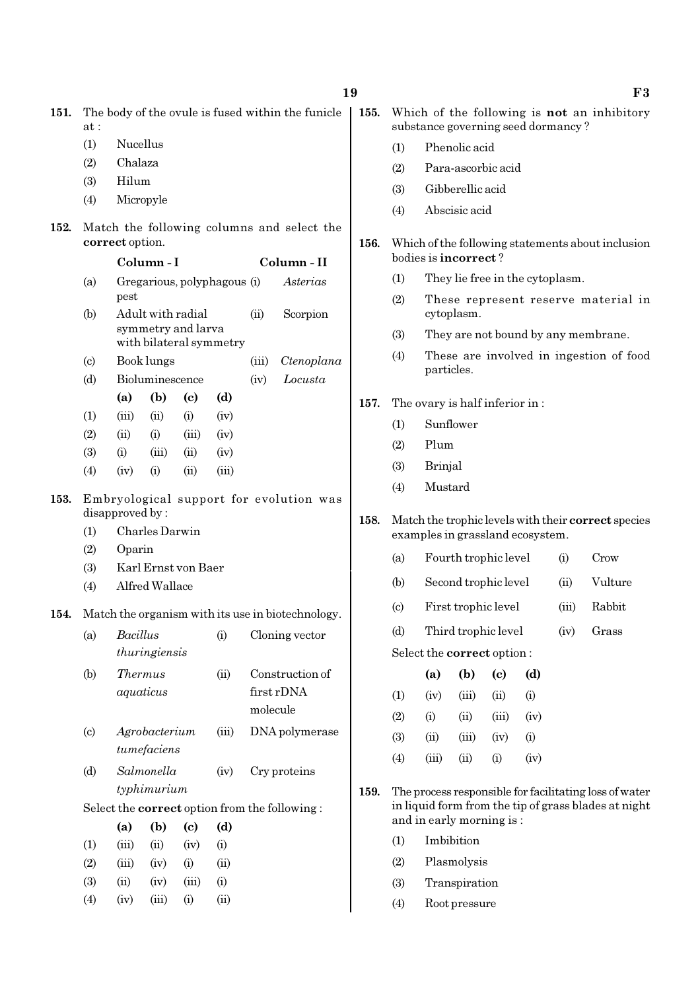| 151. | at:                         |                 | The body of the ovule is fused within the funicle |                                         |                             |          | 155.                                                 | Which of the following is <b>not</b> an inhibitory<br>substance governing seed dormancy? |                            |                                  |                  |                             |                                 |      |                                                        |
|------|-----------------------------|-----------------|---------------------------------------------------|-----------------------------------------|-----------------------------|----------|------------------------------------------------------|------------------------------------------------------------------------------------------|----------------------------|----------------------------------|------------------|-----------------------------|---------------------------------|------|--------------------------------------------------------|
|      | (1)                         | Nucellus        |                                                   |                                         |                             |          |                                                      |                                                                                          | (1)                        |                                  | Phenolic acid    |                             |                                 |      |                                                        |
|      | (2)                         | Chalaza         |                                                   |                                         |                             |          |                                                      |                                                                                          | (2)                        |                                  |                  | Para-ascorbic acid          |                                 |      |                                                        |
|      | (3)                         | Hilum           |                                                   |                                         |                             |          |                                                      |                                                                                          | (3)                        |                                  | Gibberellic acid |                             |                                 |      |                                                        |
|      | (4)                         |                 | Micropyle                                         |                                         |                             |          |                                                      |                                                                                          |                            |                                  |                  |                             |                                 |      |                                                        |
| 152. |                             |                 |                                                   |                                         |                             |          | Match the following columns and select the           |                                                                                          | (4)                        |                                  | Abscisic acid    |                             |                                 |      |                                                        |
|      |                             | correct option. |                                                   |                                         |                             |          |                                                      | 156.                                                                                     |                            | bodies is <b>incorrect</b> ?     |                  |                             |                                 |      | Which of the following statements about inclusion      |
|      |                             |                 | Column-I                                          |                                         |                             |          | Column - II                                          |                                                                                          |                            |                                  |                  |                             |                                 |      |                                                        |
|      | (a)                         | pest            |                                                   |                                         | Gregarious, polyphagous (i) |          | Asterias                                             |                                                                                          | (1)<br>(2)                 |                                  |                  |                             | They lie free in the cytoplasm. |      | These represent reserve material in                    |
|      | (b)                         |                 |                                                   | Adult with radial<br>symmetry and larva | with bilateral symmetry     | (ii)     | Scorpion                                             |                                                                                          | (3)                        |                                  | cytoplasm.       |                             |                                 |      | They are not bound by any membrane.                    |
|      | $\left( \mathrm{c} \right)$ |                 | Book lungs                                        |                                         |                             | (iii)    | Ctenoplana                                           |                                                                                          | (4)                        |                                  |                  |                             |                                 |      | These are involved in ingestion of food                |
|      | (d)                         |                 | Bioluminescence                                   |                                         |                             | (iv)     | Locusta                                              |                                                                                          |                            | particles.                       |                  |                             |                                 |      |                                                        |
|      |                             | (a)             | (b)                                               | $\left( \mathrm{c}\right)$              | (d)                         |          |                                                      | 157.                                                                                     |                            | The ovary is half inferior in:   |                  |                             |                                 |      |                                                        |
|      | (1)                         | (iii)           | (ii)                                              | (i)                                     | (iv)                        |          |                                                      |                                                                                          | (1)                        |                                  | Sunflower        |                             |                                 |      |                                                        |
|      | (2)                         | (ii)            | (i)                                               | (iii)                                   | (iv)                        |          |                                                      |                                                                                          |                            | Plum                             |                  |                             |                                 |      |                                                        |
|      | (3)                         | (i)             | (iii)                                             | (ii)                                    | (iv)                        |          |                                                      |                                                                                          | (2)                        |                                  |                  |                             |                                 |      |                                                        |
|      | (4)                         | (iv)            | (i)                                               | (ii)                                    | (iii)                       |          |                                                      |                                                                                          | (3)                        | <b>Brinjal</b>                   |                  |                             |                                 |      |                                                        |
| 153. |                             | disapproved by: |                                                   |                                         |                             |          | Embryological support for evolution was              |                                                                                          | (4)                        | Mustard                          |                  |                             |                                 |      |                                                        |
|      | (1)                         |                 | Charles Darwin                                    |                                         |                             |          |                                                      | 158.                                                                                     |                            | examples in grassland ecosystem. |                  |                             |                                 |      | Match the trophic levels with their correct species    |
|      | (2)                         | Oparin          |                                                   |                                         |                             |          |                                                      |                                                                                          | (a)                        |                                  |                  | Fourth trophic level        |                                 | (i)  | Crow                                                   |
|      | (3)                         |                 |                                                   | Karl Ernst von Baer                     |                             |          |                                                      |                                                                                          |                            |                                  |                  |                             |                                 |      |                                                        |
|      | (4)                         |                 | Alfred Wallace                                    |                                         |                             |          |                                                      |                                                                                          | (b)                        |                                  |                  | Second trophic level        |                                 | (ii) | Vulture                                                |
| 154. |                             |                 |                                                   |                                         |                             |          | Match the organism with its use in biotechnology.    |                                                                                          | $\left( \mathrm{c}\right)$ | First trophic level<br>(iii)     |                  |                             | Rabbit                          |      |                                                        |
|      | (a)                         | <b>Bacillus</b> |                                                   |                                         | (i)                         |          | Cloning vector                                       |                                                                                          | (d)                        |                                  |                  | Third trophic level         |                                 | (iv) | Grass                                                  |
|      |                             |                 | thuringiensis                                     |                                         |                             |          |                                                      |                                                                                          |                            | Select the correct option:       |                  |                             |                                 |      |                                                        |
|      | (b)                         |                 | <b>Thermus</b>                                    |                                         | (ii)                        |          | Construction of                                      |                                                                                          |                            | (a)                              | (b)              | $\left( \mathbf{c} \right)$ | (d)                             |      |                                                        |
|      |                             |                 | aquaticus                                         |                                         |                             |          | first rDNA                                           |                                                                                          | (1)                        | (iv)                             | (iii)            | (ii)                        | (i)                             |      |                                                        |
|      |                             |                 |                                                   |                                         |                             | molecule |                                                      |                                                                                          | (2)                        | (i)                              | (ii)             | (iii)                       | (iv)                            |      |                                                        |
|      | $\left( \mathrm{c}\right)$  |                 | Agrobacterium<br>tumefaciens                      |                                         | (iii)                       |          | DNA polymerase                                       |                                                                                          | (3)                        | (ii)                             | (iii)            | (iv)                        | (i)                             |      |                                                        |
|      | (d)                         |                 | Salmonella                                        |                                         | (iv)                        |          | Cry proteins                                         |                                                                                          | (4)                        | (iii)                            | (ii)             | (i)                         | (iv)                            |      |                                                        |
|      |                             |                 | typhimurium                                       |                                         |                             |          |                                                      | 159.                                                                                     |                            |                                  |                  |                             |                                 |      | The process responsible for facilitating loss of water |
|      |                             |                 |                                                   |                                         |                             |          | Select the <b>correct</b> option from the following: |                                                                                          |                            |                                  |                  |                             |                                 |      | in liquid form from the tip of grass blades at night   |
|      |                             | (a)             | (b)                                               | $\left( \mathrm{c}\right)$              | (d)                         |          |                                                      |                                                                                          |                            | and in early morning is:         |                  |                             |                                 |      |                                                        |
|      | (1)                         | (iii)           | (ii)                                              | (iv)                                    | (i)                         |          |                                                      |                                                                                          | (1)                        |                                  | Imbibition       |                             |                                 |      |                                                        |
|      | (2)                         | (iii)           | (iv)                                              | (i)                                     | (ii)                        |          |                                                      |                                                                                          | (2)                        |                                  | Plasmolysis      |                             |                                 |      |                                                        |
|      | (3)                         | (ii)            | (iv)                                              | (iii)                                   | (i)                         |          |                                                      |                                                                                          | (3)                        |                                  | Transpiration    |                             |                                 |      |                                                        |

(4) (iv) (iii) (i) (ii)

(4) Root pressure

 $\vert$ 

 $19 \t\t\t F3$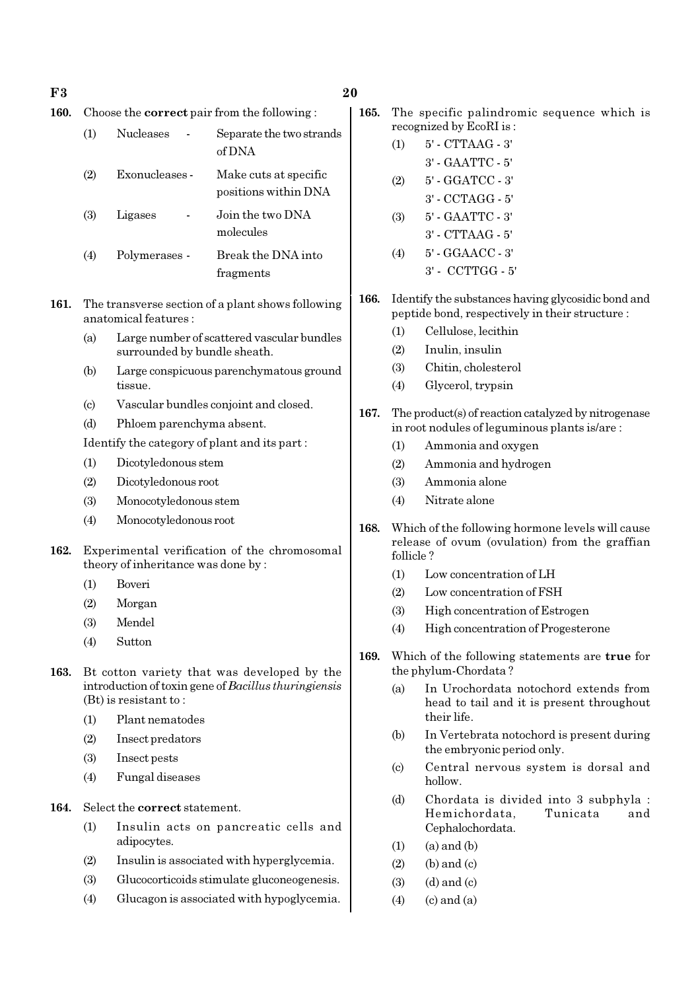160. Choose the **correct** pair from the following :

| (1) | <b>Nucleases</b> | Separate the two strands<br>of DNA            |
|-----|------------------|-----------------------------------------------|
| (2) | Exonucleases -   | Make cuts at specific<br>positions within DNA |
| (3) | Ligases          | Join the two DNA<br>molecules                 |
| (4) | Polymerases -    | Break the DNA into                            |

- 161. The transverse section of a plant shows following
	- (a) Large number of scattered vascular bundles surrounded by bundle sheath.

fragments

- (b) Large conspicuous parenchymatous ground tissue.
- (c) Vascular bundles conjoint and closed.
- (d) Phloem parenchyma absent.

Identify the category of plant and its part :

(1) Dicotyledonous stem

anatomical features :

- (2) Dicotyledonous root
- (3) Monocotyledonous stem
- (4) Monocotyledonous root
- 162. Experimental verification of the chromosomal theory of inheritance was done by :
	- (1) Boveri
	- (2) Morgan
	- (3) Mendel
	- (4) Sutton
- 163. Bt cotton variety that was developed by the introduction of toxin gene of Bacillus thuringiensis (Bt) is resistant to :
	- (1) Plant nematodes
	- (2) Insect predators
	- (3) Insect pests
	- (4) Fungal diseases
- 164. Select the correct statement.
	- (1) Insulin acts on pancreatic cells and adipocytes.
	- (2) Insulin is associated with hyperglycemia.
	- (3) Glucocorticoids stimulate gluconeogenesis.
	- (4) Glucagon is associated with hypoglycemia.
- 165. The specific palindromic sequence which is recognized by EcoRI is :
	- (1) 5' CTTAAG 3'
		- 3' GAATTC 5'
	- (2) 5' GGATCC 3' 3' - CCTAGG - 5'
	- (3) 5' GAATTC 3'
		- 3' CTTAAG 5'
	- (4) 5' GGAACC 3'
		- 3' CCTTGG 5'
- 166. Identify the substances having glycosidic bond and peptide bond, respectively in their structure :
	- (1) Cellulose, lecithin
	- (2) Inulin, insulin
	- (3) Chitin, cholesterol
	- (4) Glycerol, trypsin
- 167. The product(s) of reaction catalyzed by nitrogenase in root nodules of leguminous plants is/are :
	- (1) Ammonia and oxygen
	- (2) Ammonia and hydrogen
	- (3) Ammonia alone
	- (4) Nitrate alone
- 168. Which of the following hormone levels will cause release of ovum (ovulation) from the graffian follicle ?
	- (1) Low concentration of LH
	- (2) Low concentration of FSH
	- (3) High concentration of Estrogen
	- (4) High concentration of Progesterone
- 169. Which of the following statements are true for the phylum-Chordata ?
	- (a) In Urochordata notochord extends from head to tail and it is present throughout their life.
	- (b) In Vertebrata notochord is present during the embryonic period only.
	- (c) Central nervous system is dorsal and hollow.
	- (d) Chordata is divided into 3 subphyla : Hemichordata, Tunicata and Cephalochordata.
	- $(1)$   $(a)$  and  $(b)$
	- $(2)$  (b) and  $(c)$
	- $(3)$   $(d)$  and  $(c)$
	- $(4)$   $(c)$  and  $(a)$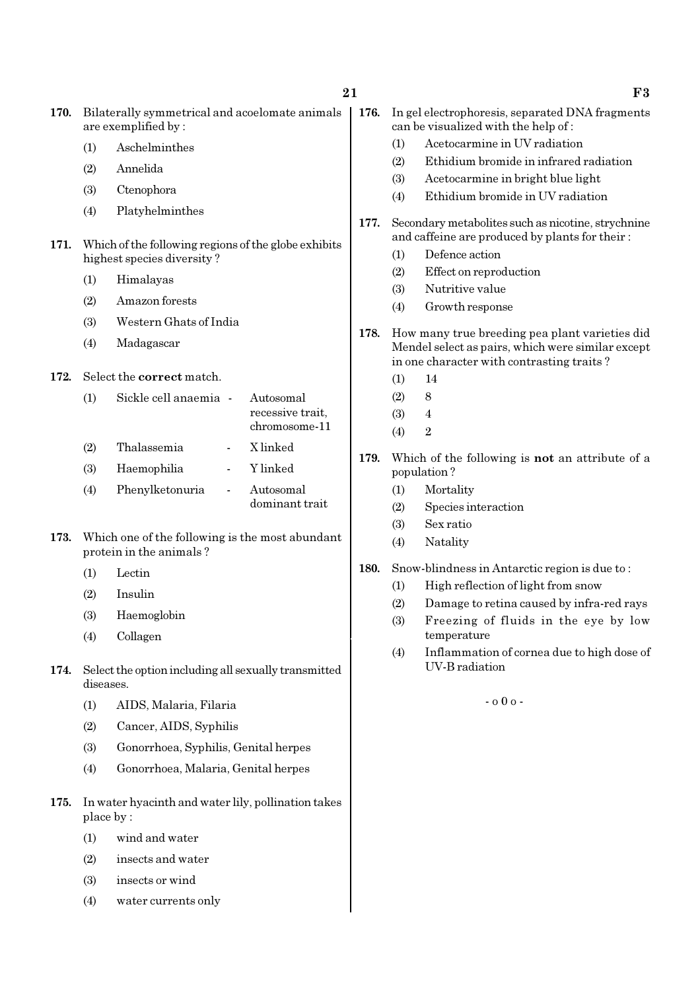| 170. |                                                | Bilaterally symmetrical and acoelomate animals<br>are exemplified by:              |                                   | 176. | In gel electrophoresis, separated DNA fragments<br>can be visualized with the help of:         |                                                                                                      |  |  |  |
|------|------------------------------------------------|------------------------------------------------------------------------------------|-----------------------------------|------|------------------------------------------------------------------------------------------------|------------------------------------------------------------------------------------------------------|--|--|--|
|      | (1)                                            | Aschelminthes                                                                      |                                   |      | (1)                                                                                            | Acetocarmine in UV radiation                                                                         |  |  |  |
|      | (2)                                            | Annelida                                                                           |                                   |      | (2)                                                                                            | Ethidium bromide in infrared radiation                                                               |  |  |  |
|      |                                                |                                                                                    |                                   |      | (3)                                                                                            | Acetocarmine in bright blue light                                                                    |  |  |  |
|      | (3)                                            | Ctenophora                                                                         |                                   |      | (4)                                                                                            | Ethidium bromide in UV radiation                                                                     |  |  |  |
|      | (4)                                            | Platyhelminthes                                                                    |                                   | 177. |                                                                                                | Secondary metabolites such as nicotine, strychnine<br>and caffeine are produced by plants for their: |  |  |  |
| 171. |                                                | Which of the following regions of the globe exhibits<br>highest species diversity? |                                   |      | Defence action<br>(1)                                                                          |                                                                                                      |  |  |  |
|      | (1)                                            | Himalayas                                                                          |                                   |      | (2)                                                                                            | Effect on reproduction                                                                               |  |  |  |
|      | (2)                                            | Amazon forests                                                                     |                                   |      | (3)                                                                                            | Nutritive value                                                                                      |  |  |  |
|      |                                                |                                                                                    |                                   |      | (4)                                                                                            | Growth response                                                                                      |  |  |  |
|      | (3)                                            | Western Ghats of India                                                             |                                   | 178. |                                                                                                | How many true breeding pea plant varieties did                                                       |  |  |  |
|      | (4)                                            | Madagascar                                                                         |                                   |      | Mendel select as pairs, which were similar except<br>in one character with contrasting traits? |                                                                                                      |  |  |  |
| 172. |                                                | Select the correct match.                                                          |                                   |      | (1)                                                                                            | 14                                                                                                   |  |  |  |
|      | (1)                                            | Sickle cell anaemia -                                                              | Autosomal                         |      | (2)                                                                                            | $\,8\,$                                                                                              |  |  |  |
|      |                                                |                                                                                    | recessive trait,<br>chromosome-11 |      | (3)                                                                                            | 4                                                                                                    |  |  |  |
|      | (2)                                            | Thalassemia                                                                        | X linked                          |      | (4)                                                                                            | $\boldsymbol{2}$                                                                                     |  |  |  |
|      |                                                | $\blacksquare$                                                                     | Y linked                          | 179. |                                                                                                | Which of the following is <b>not</b> an attribute of a                                               |  |  |  |
|      | Haemophilia<br>(3)<br>$\overline{\phantom{a}}$ |                                                                                    |                                   |      |                                                                                                | population?                                                                                          |  |  |  |
|      | (4)                                            | Phenylketonuria<br>$\overline{\phantom{a}}$                                        | Autosomal<br>dominant trait       |      | (1)                                                                                            | Mortality                                                                                            |  |  |  |
|      |                                                |                                                                                    |                                   |      | (2)                                                                                            | Species interaction<br>Sex ratio                                                                     |  |  |  |
| 173. |                                                | Which one of the following is the most abundant<br>protein in the animals?         |                                   |      | (3)<br>(4)                                                                                     | Natality                                                                                             |  |  |  |
|      | (1)                                            | Lectin                                                                             |                                   | 180. |                                                                                                | Snow-blindness in Antarctic region is due to:                                                        |  |  |  |
|      | (2)                                            | Insulin                                                                            |                                   |      | (1)                                                                                            | High reflection of light from snow                                                                   |  |  |  |
|      | (3)                                            | Haemoglobin                                                                        |                                   |      | (2)                                                                                            | Damage to retina caused by infra-red rays                                                            |  |  |  |
|      | (4)                                            | Collagen                                                                           |                                   |      | (3)                                                                                            | Freezing of fluids in the eye by low<br>temperature                                                  |  |  |  |
|      |                                                |                                                                                    |                                   |      | (4)                                                                                            | Inflammation of cornea due to high dose of                                                           |  |  |  |
| 174. | diseases.                                      | Select the option including all sexually transmitted                               |                                   |      |                                                                                                | UV-B radiation                                                                                       |  |  |  |
|      | (1)                                            | AIDS, Malaria, Filaria                                                             |                                   |      |                                                                                                | $-000 -$                                                                                             |  |  |  |
|      | (2)                                            | Cancer, AIDS, Syphilis                                                             |                                   |      |                                                                                                |                                                                                                      |  |  |  |
|      | (3)                                            | Gonorrhoea, Syphilis, Genital herpes                                               |                                   |      |                                                                                                |                                                                                                      |  |  |  |
|      | (4)                                            | Gonorrhoea, Malaria, Genital herpes                                                |                                   |      |                                                                                                |                                                                                                      |  |  |  |
| 175. | place by:                                      | In water hyacinth and water lily, pollination takes                                |                                   |      |                                                                                                |                                                                                                      |  |  |  |
|      | (1)                                            | wind and water                                                                     |                                   |      |                                                                                                |                                                                                                      |  |  |  |
|      | (2)                                            | insects and water                                                                  |                                   |      |                                                                                                |                                                                                                      |  |  |  |
|      | (3)                                            | insects or wind                                                                    |                                   |      |                                                                                                |                                                                                                      |  |  |  |
|      | (4)                                            | water currents only                                                                |                                   |      |                                                                                                |                                                                                                      |  |  |  |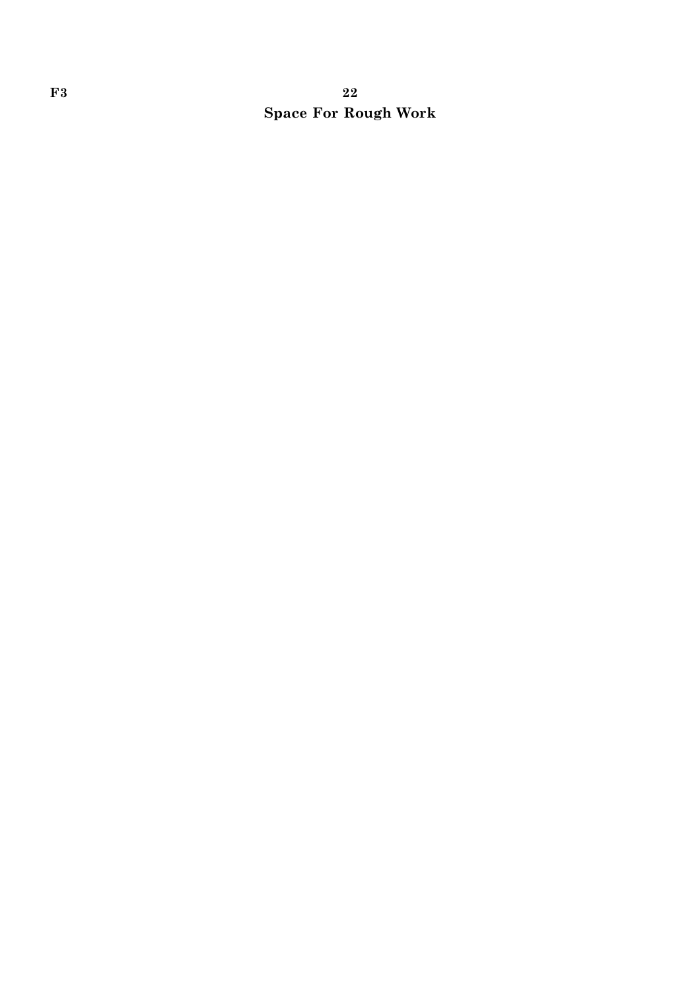# $F3$  and  $22$ Space For Rough Work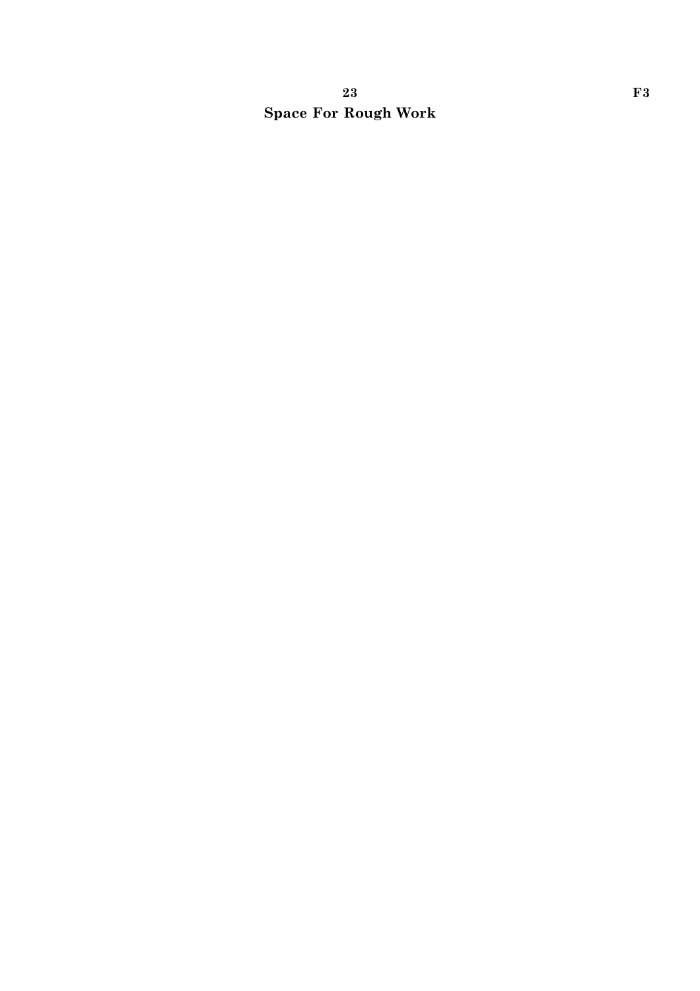# 23 F3 Space For Rough Work